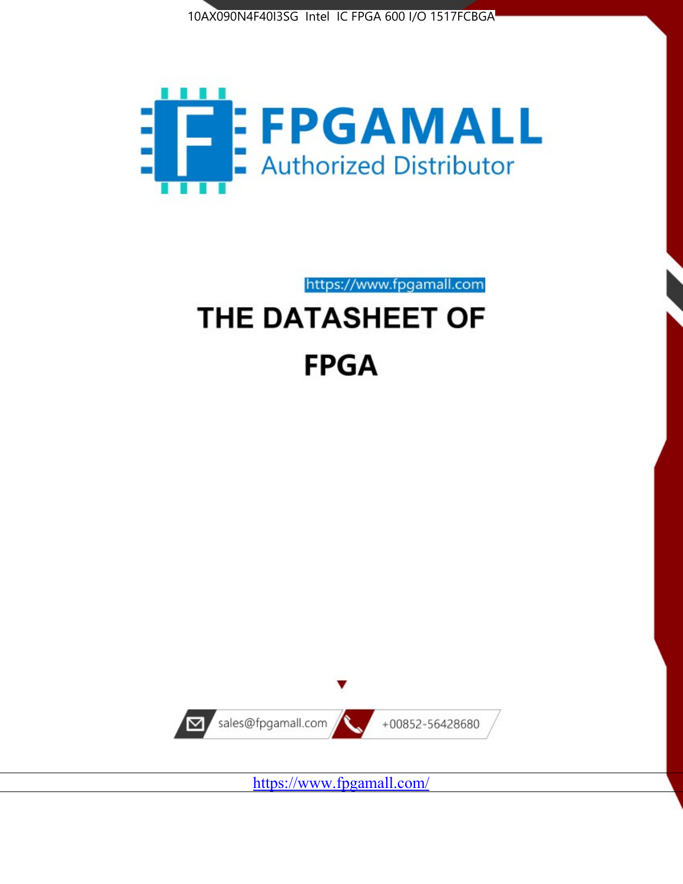



https://www.fpgamall.com

# THE DATASHEET OF **FPGA**



<https://www.fpgamall.com/>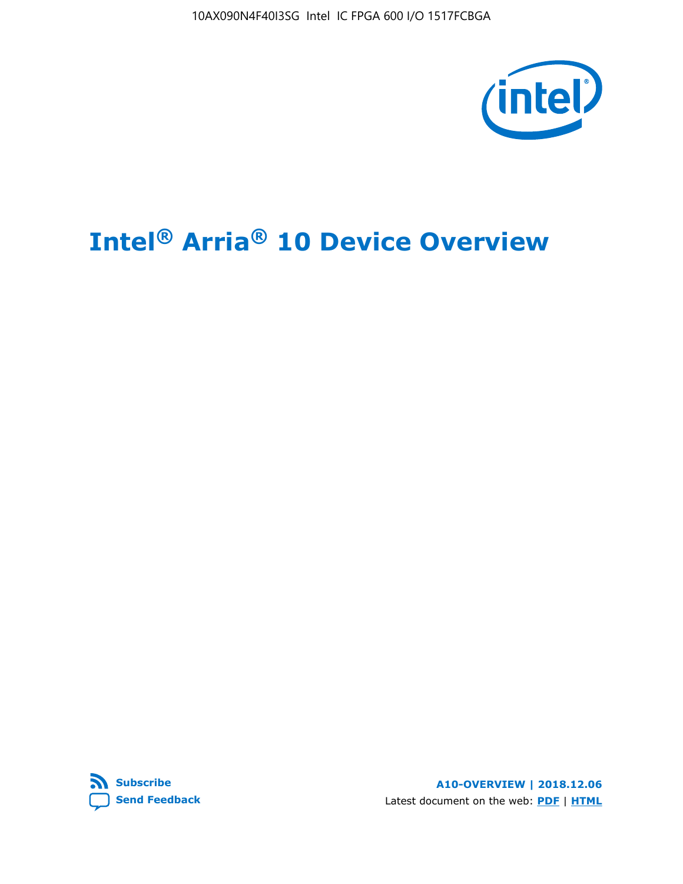10AX090N4F40I3SG Intel IC FPGA 600 I/O 1517FCBGA



# **Intel® Arria® 10 Device Overview**



**A10-OVERVIEW | 2018.12.06** Latest document on the web: **[PDF](https://www.intel.com/content/dam/www/programmable/us/en/pdfs/literature/hb/arria-10/a10_overview.pdf)** | **[HTML](https://www.intel.com/content/www/us/en/programmable/documentation/sam1403480274650.html)**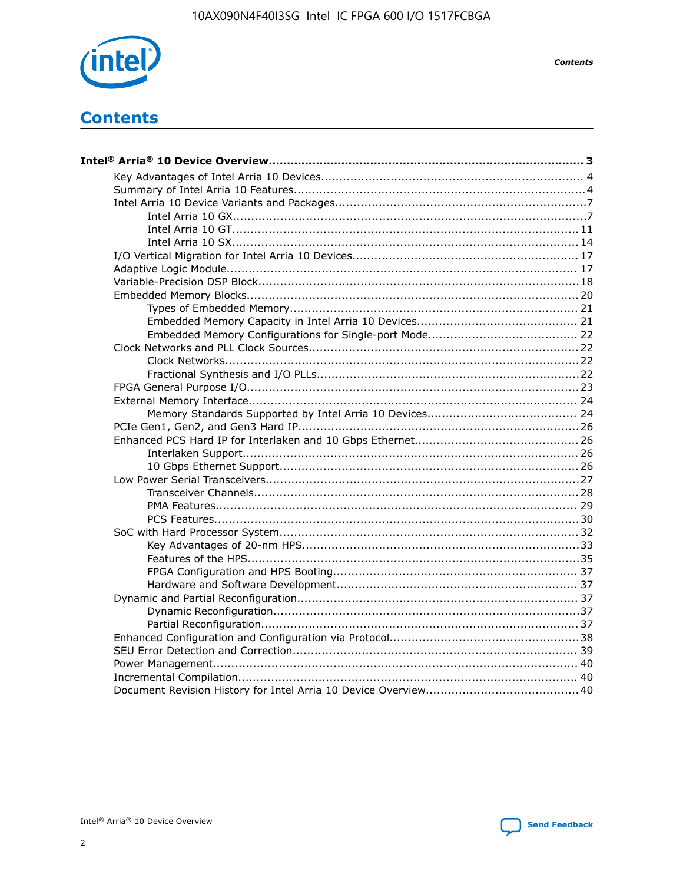

**Contents** 

# **Contents**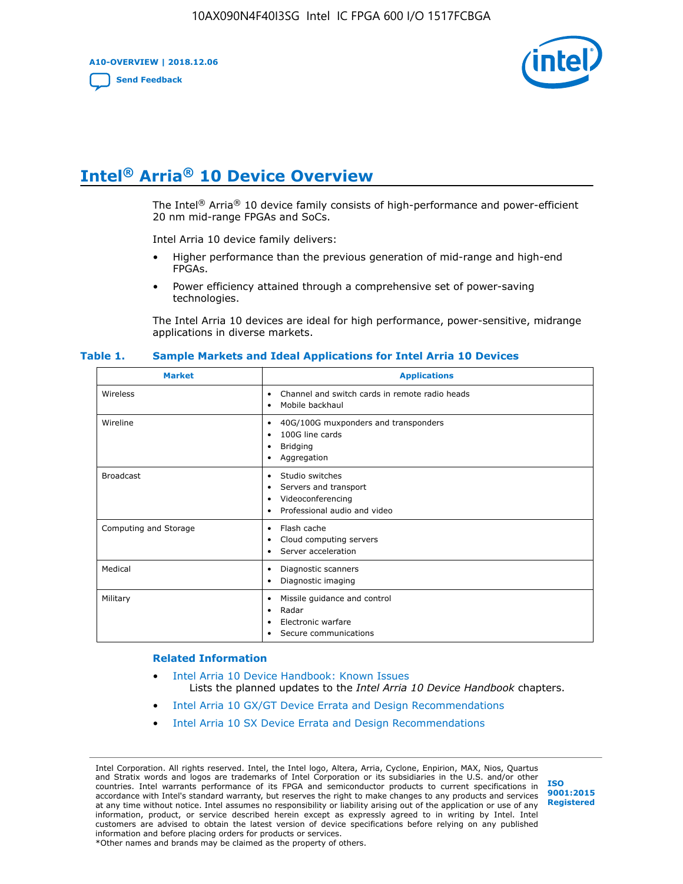**A10-OVERVIEW | 2018.12.06**

**[Send Feedback](mailto:FPGAtechdocfeedback@intel.com?subject=Feedback%20on%20Intel%20Arria%2010%20Device%20Overview%20(A10-OVERVIEW%202018.12.06)&body=We%20appreciate%20your%20feedback.%20In%20your%20comments,%20also%20specify%20the%20page%20number%20or%20paragraph.%20Thank%20you.)**



# **Intel® Arria® 10 Device Overview**

The Intel<sup>®</sup> Arria<sup>®</sup> 10 device family consists of high-performance and power-efficient 20 nm mid-range FPGAs and SoCs.

Intel Arria 10 device family delivers:

- Higher performance than the previous generation of mid-range and high-end FPGAs.
- Power efficiency attained through a comprehensive set of power-saving technologies.

The Intel Arria 10 devices are ideal for high performance, power-sensitive, midrange applications in diverse markets.

| <b>Market</b>         | <b>Applications</b>                                                                                                       |
|-----------------------|---------------------------------------------------------------------------------------------------------------------------|
| Wireless              | Channel and switch cards in remote radio heads<br>$\bullet$<br>Mobile backhaul<br>٠                                       |
| Wireline              | 40G/100G muxponders and transponders<br>٠<br>100G line cards<br>٠<br><b>Bridging</b><br>٠<br>Aggregation<br>٠             |
| <b>Broadcast</b>      | Studio switches<br>$\bullet$<br>Servers and transport<br>٠<br>Videoconferencing<br>٠<br>Professional audio and video<br>٠ |
| Computing and Storage | Flash cache<br>$\bullet$<br>Cloud computing servers<br>٠<br>Server acceleration<br>٠                                      |
| Medical               | Diagnostic scanners<br>٠<br>Diagnostic imaging<br>٠                                                                       |
| Military              | Missile guidance and control<br>$\bullet$<br>Radar<br>٠<br>Electronic warfare<br>٠<br>Secure communications<br>٠          |

#### **Table 1. Sample Markets and Ideal Applications for Intel Arria 10 Devices**

#### **Related Information**

- [Intel Arria 10 Device Handbook: Known Issues](http://www.altera.com/support/kdb/solutions/rd07302013_646.html) Lists the planned updates to the *Intel Arria 10 Device Handbook* chapters.
- [Intel Arria 10 GX/GT Device Errata and Design Recommendations](https://www.intel.com/content/www/us/en/programmable/documentation/agz1493851706374.html#yqz1494433888646)
- [Intel Arria 10 SX Device Errata and Design Recommendations](https://www.intel.com/content/www/us/en/programmable/documentation/cru1462832385668.html#cru1462832558642)

Intel Corporation. All rights reserved. Intel, the Intel logo, Altera, Arria, Cyclone, Enpirion, MAX, Nios, Quartus and Stratix words and logos are trademarks of Intel Corporation or its subsidiaries in the U.S. and/or other countries. Intel warrants performance of its FPGA and semiconductor products to current specifications in accordance with Intel's standard warranty, but reserves the right to make changes to any products and services at any time without notice. Intel assumes no responsibility or liability arising out of the application or use of any information, product, or service described herein except as expressly agreed to in writing by Intel. Intel customers are advised to obtain the latest version of device specifications before relying on any published information and before placing orders for products or services. \*Other names and brands may be claimed as the property of others.

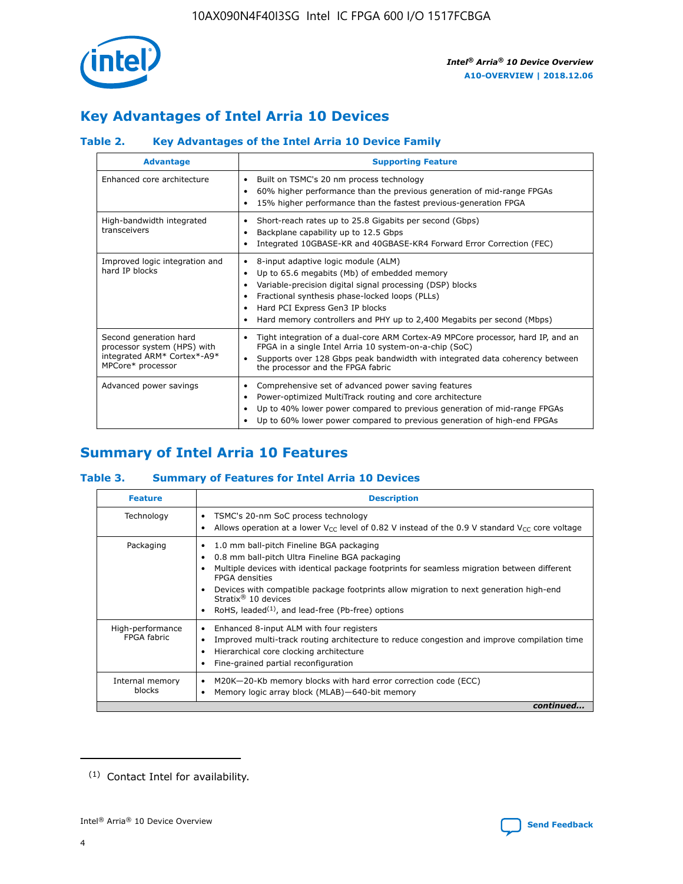

# **Key Advantages of Intel Arria 10 Devices**

# **Table 2. Key Advantages of the Intel Arria 10 Device Family**

| <b>Advantage</b>                                                                                          | <b>Supporting Feature</b>                                                                                                                                                                                                                                                                                                |
|-----------------------------------------------------------------------------------------------------------|--------------------------------------------------------------------------------------------------------------------------------------------------------------------------------------------------------------------------------------------------------------------------------------------------------------------------|
| Enhanced core architecture                                                                                | Built on TSMC's 20 nm process technology<br>٠<br>60% higher performance than the previous generation of mid-range FPGAs<br>٠<br>15% higher performance than the fastest previous-generation FPGA<br>٠                                                                                                                    |
| High-bandwidth integrated<br>transceivers                                                                 | Short-reach rates up to 25.8 Gigabits per second (Gbps)<br>٠<br>Backplane capability up to 12.5 Gbps<br>٠<br>Integrated 10GBASE-KR and 40GBASE-KR4 Forward Error Correction (FEC)<br>٠                                                                                                                                   |
| Improved logic integration and<br>hard IP blocks                                                          | 8-input adaptive logic module (ALM)<br>٠<br>Up to 65.6 megabits (Mb) of embedded memory<br>٠<br>Variable-precision digital signal processing (DSP) blocks<br>Fractional synthesis phase-locked loops (PLLs)<br>Hard PCI Express Gen3 IP blocks<br>Hard memory controllers and PHY up to 2,400 Megabits per second (Mbps) |
| Second generation hard<br>processor system (HPS) with<br>integrated ARM* Cortex*-A9*<br>MPCore* processor | Tight integration of a dual-core ARM Cortex-A9 MPCore processor, hard IP, and an<br>٠<br>FPGA in a single Intel Arria 10 system-on-a-chip (SoC)<br>Supports over 128 Gbps peak bandwidth with integrated data coherency between<br>$\bullet$<br>the processor and the FPGA fabric                                        |
| Advanced power savings                                                                                    | Comprehensive set of advanced power saving features<br>٠<br>Power-optimized MultiTrack routing and core architecture<br>٠<br>Up to 40% lower power compared to previous generation of mid-range FPGAs<br>Up to 60% lower power compared to previous generation of high-end FPGAs                                         |

# **Summary of Intel Arria 10 Features**

## **Table 3. Summary of Features for Intel Arria 10 Devices**

| <b>Feature</b>                  | <b>Description</b>                                                                                                                                                                                                                                                                                                                                                                                 |
|---------------------------------|----------------------------------------------------------------------------------------------------------------------------------------------------------------------------------------------------------------------------------------------------------------------------------------------------------------------------------------------------------------------------------------------------|
| Technology                      | TSMC's 20-nm SoC process technology<br>Allows operation at a lower $V_{\text{CC}}$ level of 0.82 V instead of the 0.9 V standard $V_{\text{CC}}$ core voltage                                                                                                                                                                                                                                      |
| Packaging                       | 1.0 mm ball-pitch Fineline BGA packaging<br>٠<br>0.8 mm ball-pitch Ultra Fineline BGA packaging<br>Multiple devices with identical package footprints for seamless migration between different<br><b>FPGA</b> densities<br>Devices with compatible package footprints allow migration to next generation high-end<br>Stratix $@10$ devices<br>RoHS, leaded $(1)$ , and lead-free (Pb-free) options |
| High-performance<br>FPGA fabric | Enhanced 8-input ALM with four registers<br>Improved multi-track routing architecture to reduce congestion and improve compilation time<br>Hierarchical core clocking architecture<br>Fine-grained partial reconfiguration                                                                                                                                                                         |
| Internal memory<br>blocks       | M20K-20-Kb memory blocks with hard error correction code (ECC)<br>Memory logic array block (MLAB)-640-bit memory                                                                                                                                                                                                                                                                                   |
|                                 | continued                                                                                                                                                                                                                                                                                                                                                                                          |



<sup>(1)</sup> Contact Intel for availability.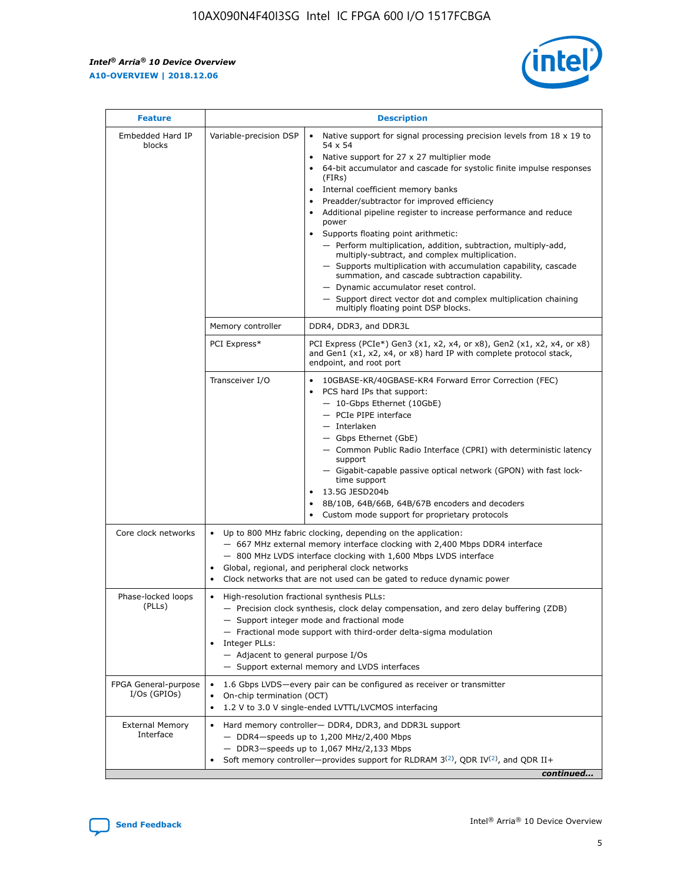r



| <b>Feature</b>                         | <b>Description</b>                                                                                             |                                                                                                                                                                                                                                                                                                                                                                                                                                                                                                                                                                                                                                                                                                                                                                                                                                                                  |  |  |  |  |  |
|----------------------------------------|----------------------------------------------------------------------------------------------------------------|------------------------------------------------------------------------------------------------------------------------------------------------------------------------------------------------------------------------------------------------------------------------------------------------------------------------------------------------------------------------------------------------------------------------------------------------------------------------------------------------------------------------------------------------------------------------------------------------------------------------------------------------------------------------------------------------------------------------------------------------------------------------------------------------------------------------------------------------------------------|--|--|--|--|--|
| Embedded Hard IP<br>blocks             | Variable-precision DSP                                                                                         | Native support for signal processing precision levels from $18 \times 19$ to<br>$\bullet$<br>54 x 54<br>Native support for 27 x 27 multiplier mode<br>$\bullet$<br>64-bit accumulator and cascade for systolic finite impulse responses<br>(FIRs)<br>Internal coefficient memory banks<br>$\bullet$<br>Preadder/subtractor for improved efficiency<br>Additional pipeline register to increase performance and reduce<br>power<br>Supports floating point arithmetic:<br>- Perform multiplication, addition, subtraction, multiply-add,<br>multiply-subtract, and complex multiplication.<br>- Supports multiplication with accumulation capability, cascade<br>summation, and cascade subtraction capability.<br>- Dynamic accumulator reset control.<br>- Support direct vector dot and complex multiplication chaining<br>multiply floating point DSP blocks. |  |  |  |  |  |
|                                        | Memory controller                                                                                              | DDR4, DDR3, and DDR3L                                                                                                                                                                                                                                                                                                                                                                                                                                                                                                                                                                                                                                                                                                                                                                                                                                            |  |  |  |  |  |
|                                        | PCI Express*                                                                                                   | PCI Express (PCIe*) Gen3 (x1, x2, x4, or x8), Gen2 (x1, x2, x4, or x8)<br>and Gen1 (x1, x2, x4, or x8) hard IP with complete protocol stack,<br>endpoint, and root port                                                                                                                                                                                                                                                                                                                                                                                                                                                                                                                                                                                                                                                                                          |  |  |  |  |  |
|                                        | Transceiver I/O                                                                                                | 10GBASE-KR/40GBASE-KR4 Forward Error Correction (FEC)<br>PCS hard IPs that support:<br>- 10-Gbps Ethernet (10GbE)<br>- PCIe PIPE interface<br>- Interlaken<br>- Gbps Ethernet (GbE)<br>- Common Public Radio Interface (CPRI) with deterministic latency<br>support<br>- Gigabit-capable passive optical network (GPON) with fast lock-<br>time support<br>13.5G JESD204b<br>$\bullet$<br>8B/10B, 64B/66B, 64B/67B encoders and decoders<br>Custom mode support for proprietary protocols                                                                                                                                                                                                                                                                                                                                                                        |  |  |  |  |  |
| Core clock networks                    | $\bullet$                                                                                                      | Up to 800 MHz fabric clocking, depending on the application:<br>- 667 MHz external memory interface clocking with 2,400 Mbps DDR4 interface<br>- 800 MHz LVDS interface clocking with 1,600 Mbps LVDS interface<br>Global, regional, and peripheral clock networks<br>Clock networks that are not used can be gated to reduce dynamic power                                                                                                                                                                                                                                                                                                                                                                                                                                                                                                                      |  |  |  |  |  |
| Phase-locked loops<br>(PLLs)           | High-resolution fractional synthesis PLLs:<br>$\bullet$<br>Integer PLLs:<br>- Adjacent to general purpose I/Os | - Precision clock synthesis, clock delay compensation, and zero delay buffering (ZDB)<br>- Support integer mode and fractional mode<br>- Fractional mode support with third-order delta-sigma modulation<br>- Support external memory and LVDS interfaces                                                                                                                                                                                                                                                                                                                                                                                                                                                                                                                                                                                                        |  |  |  |  |  |
| FPGA General-purpose<br>$I/Os$ (GPIOs) | On-chip termination (OCT)<br>٠<br>$\bullet$                                                                    | 1.6 Gbps LVDS-every pair can be configured as receiver or transmitter<br>1.2 V to 3.0 V single-ended LVTTL/LVCMOS interfacing                                                                                                                                                                                                                                                                                                                                                                                                                                                                                                                                                                                                                                                                                                                                    |  |  |  |  |  |
| <b>External Memory</b><br>Interface    | $\bullet$                                                                                                      | Hard memory controller- DDR4, DDR3, and DDR3L support<br>$-$ DDR4-speeds up to 1,200 MHz/2,400 Mbps<br>- DDR3-speeds up to 1,067 MHz/2,133 Mbps<br>Soft memory controller—provides support for RLDRAM $3^{(2)}$ , QDR IV $^{(2)}$ , and QDR II+<br>continued                                                                                                                                                                                                                                                                                                                                                                                                                                                                                                                                                                                                     |  |  |  |  |  |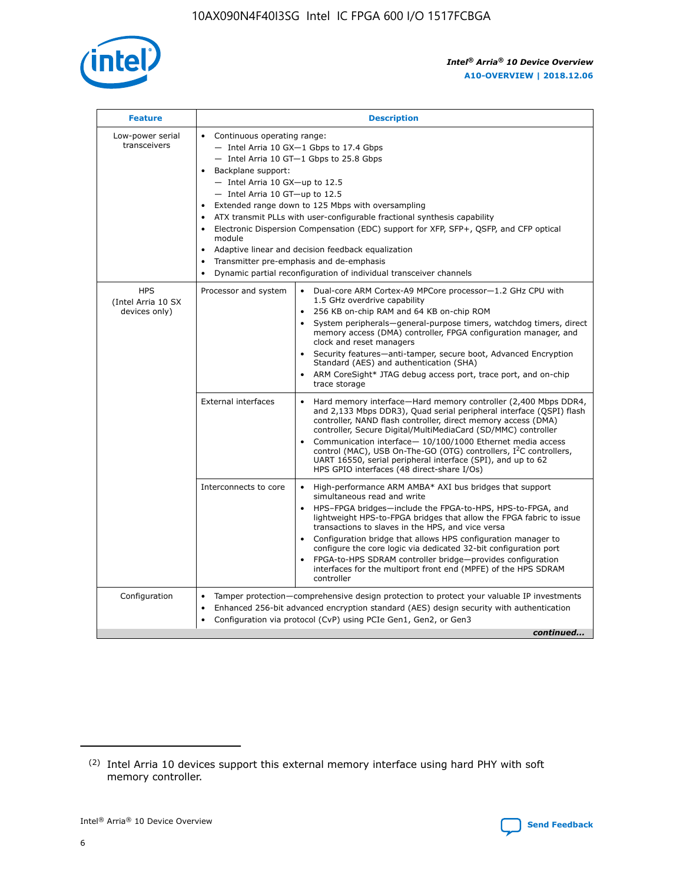

| <b>Feature</b>                                    | <b>Description</b>                                                                                                                                                                                                                                                                                                                                                                                                                                                                                                                                                                                                                                      |  |  |  |  |  |  |  |  |
|---------------------------------------------------|---------------------------------------------------------------------------------------------------------------------------------------------------------------------------------------------------------------------------------------------------------------------------------------------------------------------------------------------------------------------------------------------------------------------------------------------------------------------------------------------------------------------------------------------------------------------------------------------------------------------------------------------------------|--|--|--|--|--|--|--|--|
| Low-power serial<br>transceivers                  | • Continuous operating range:<br>- Intel Arria 10 GX-1 Gbps to 17.4 Gbps<br>- Intel Arria 10 GT-1 Gbps to 25.8 Gbps<br>Backplane support:<br>$-$ Intel Arria 10 GX-up to 12.5<br>- Intel Arria 10 GT-up to 12.5<br>Extended range down to 125 Mbps with oversampling<br>ATX transmit PLLs with user-configurable fractional synthesis capability<br>• Electronic Dispersion Compensation (EDC) support for XFP, SFP+, QSFP, and CFP optical<br>module<br>Adaptive linear and decision feedback equalization<br>$\bullet$<br>Transmitter pre-emphasis and de-emphasis<br>$\bullet$<br>Dynamic partial reconfiguration of individual transceiver channels |  |  |  |  |  |  |  |  |
| <b>HPS</b><br>(Intel Arria 10 SX<br>devices only) | Processor and system<br>Dual-core ARM Cortex-A9 MPCore processor-1.2 GHz CPU with<br>$\bullet$<br>1.5 GHz overdrive capability<br>• 256 KB on-chip RAM and 64 KB on-chip ROM<br>System peripherals-general-purpose timers, watchdog timers, direct<br>memory access (DMA) controller, FPGA configuration manager, and<br>clock and reset managers<br>• Security features—anti-tamper, secure boot, Advanced Encryption<br>Standard (AES) and authentication (SHA)<br>ARM CoreSight* JTAG debug access port, trace port, and on-chip<br>trace storage                                                                                                    |  |  |  |  |  |  |  |  |
|                                                   | <b>External interfaces</b><br>Hard memory interface—Hard memory controller (2,400 Mbps DDR4,<br>$\bullet$<br>and 2,133 Mbps DDR3), Quad serial peripheral interface (QSPI) flash<br>controller, NAND flash controller, direct memory access (DMA)<br>controller, Secure Digital/MultiMediaCard (SD/MMC) controller<br>Communication interface-10/100/1000 Ethernet media access<br>control (MAC), USB On-The-GO (OTG) controllers, I <sup>2</sup> C controllers,<br>UART 16550, serial peripheral interface (SPI), and up to 62<br>HPS GPIO interfaces (48 direct-share I/Os)                                                                           |  |  |  |  |  |  |  |  |
|                                                   | High-performance ARM AMBA* AXI bus bridges that support<br>Interconnects to core<br>$\bullet$<br>simultaneous read and write<br>HPS-FPGA bridges—include the FPGA-to-HPS, HPS-to-FPGA, and<br>lightweight HPS-to-FPGA bridges that allow the FPGA fabric to issue<br>transactions to slaves in the HPS, and vice versa<br>Configuration bridge that allows HPS configuration manager to<br>configure the core logic via dedicated 32-bit configuration port<br>FPGA-to-HPS SDRAM controller bridge-provides configuration<br>interfaces for the multiport front end (MPFE) of the HPS SDRAM<br>controller                                               |  |  |  |  |  |  |  |  |
| Configuration                                     | Tamper protection—comprehensive design protection to protect your valuable IP investments<br>Enhanced 256-bit advanced encryption standard (AES) design security with authentication<br>٠<br>Configuration via protocol (CvP) using PCIe Gen1, Gen2, or Gen3<br>continued                                                                                                                                                                                                                                                                                                                                                                               |  |  |  |  |  |  |  |  |

<sup>(2)</sup> Intel Arria 10 devices support this external memory interface using hard PHY with soft memory controller.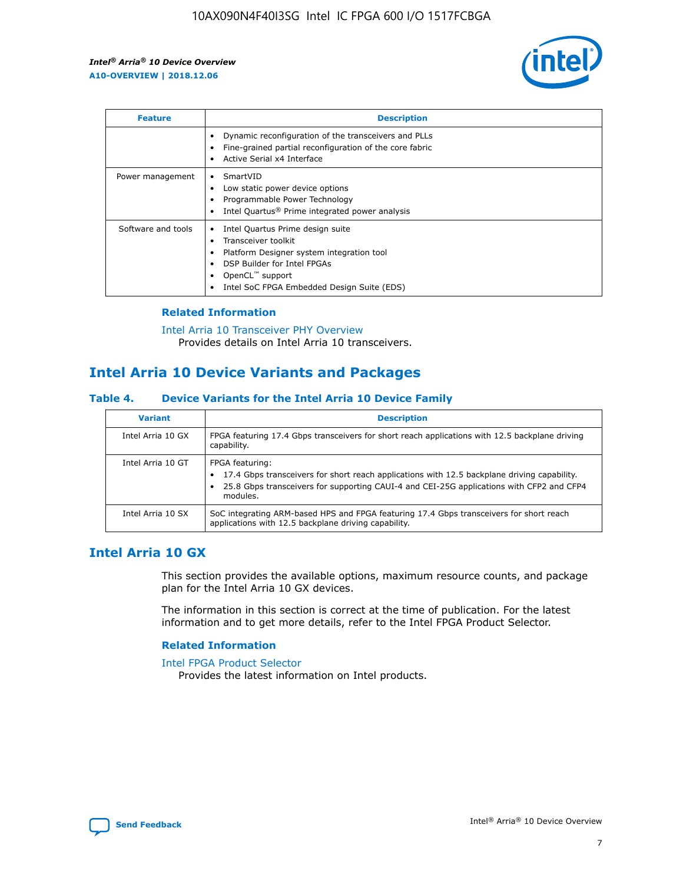

| <b>Feature</b>     | <b>Description</b>                                                                                                                                                                                               |
|--------------------|------------------------------------------------------------------------------------------------------------------------------------------------------------------------------------------------------------------|
|                    | Dynamic reconfiguration of the transceivers and PLLs<br>Fine-grained partial reconfiguration of the core fabric<br>Active Serial x4 Interface<br>$\bullet$                                                       |
| Power management   | SmartVID<br>Low static power device options<br>Programmable Power Technology<br>Intel Quartus <sup>®</sup> Prime integrated power analysis                                                                       |
| Software and tools | Intel Quartus Prime design suite<br>Transceiver toolkit<br>Platform Designer system integration tool<br>DSP Builder for Intel FPGAs<br>OpenCL <sup>™</sup> support<br>Intel SoC FPGA Embedded Design Suite (EDS) |

## **Related Information**

[Intel Arria 10 Transceiver PHY Overview](https://www.intel.com/content/www/us/en/programmable/documentation/nik1398707230472.html#nik1398706768037) Provides details on Intel Arria 10 transceivers.

# **Intel Arria 10 Device Variants and Packages**

#### **Table 4. Device Variants for the Intel Arria 10 Device Family**

| <b>Variant</b>    | <b>Description</b>                                                                                                                                                                                                     |
|-------------------|------------------------------------------------------------------------------------------------------------------------------------------------------------------------------------------------------------------------|
| Intel Arria 10 GX | FPGA featuring 17.4 Gbps transceivers for short reach applications with 12.5 backplane driving<br>capability.                                                                                                          |
| Intel Arria 10 GT | FPGA featuring:<br>17.4 Gbps transceivers for short reach applications with 12.5 backplane driving capability.<br>25.8 Gbps transceivers for supporting CAUI-4 and CEI-25G applications with CFP2 and CFP4<br>modules. |
| Intel Arria 10 SX | SoC integrating ARM-based HPS and FPGA featuring 17.4 Gbps transceivers for short reach<br>applications with 12.5 backplane driving capability.                                                                        |

# **Intel Arria 10 GX**

This section provides the available options, maximum resource counts, and package plan for the Intel Arria 10 GX devices.

The information in this section is correct at the time of publication. For the latest information and to get more details, refer to the Intel FPGA Product Selector.

#### **Related Information**

#### [Intel FPGA Product Selector](http://www.altera.com/products/selector/psg-selector.html) Provides the latest information on Intel products.

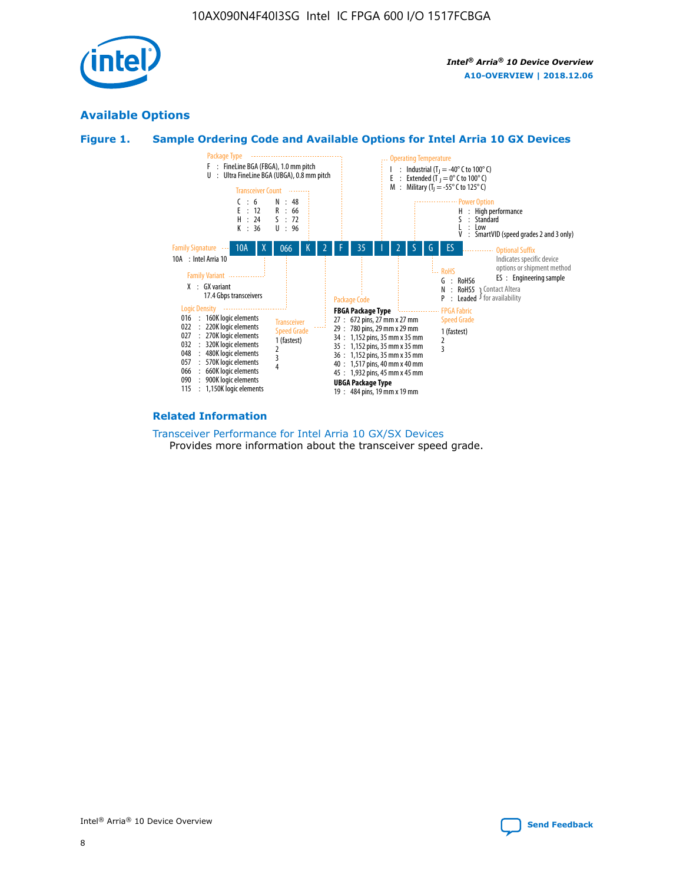

# **Available Options**





#### **Related Information**

[Transceiver Performance for Intel Arria 10 GX/SX Devices](https://www.intel.com/content/www/us/en/programmable/documentation/mcn1413182292568.html#mcn1413213965502) Provides more information about the transceiver speed grade.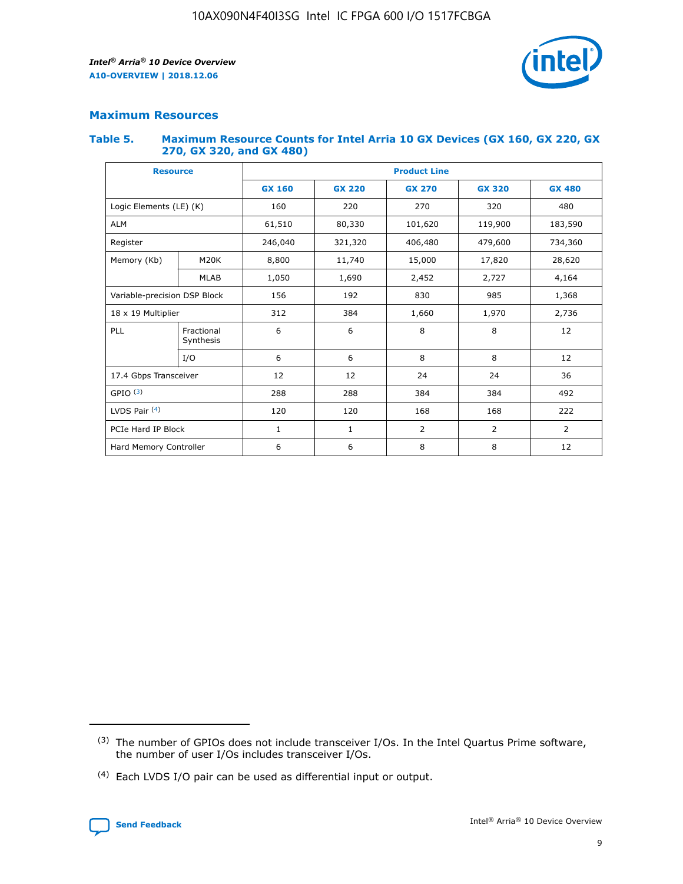

## **Maximum Resources**

#### **Table 5. Maximum Resource Counts for Intel Arria 10 GX Devices (GX 160, GX 220, GX 270, GX 320, and GX 480)**

| <b>Resource</b>              |                         | <b>Product Line</b> |                                |                |                |                |  |  |  |
|------------------------------|-------------------------|---------------------|--------------------------------|----------------|----------------|----------------|--|--|--|
|                              |                         | <b>GX 160</b>       | <b>GX 220</b><br><b>GX 270</b> |                | <b>GX 320</b>  | <b>GX 480</b>  |  |  |  |
| Logic Elements (LE) (K)      |                         | 160                 | 220                            | 270            | 320            | 480            |  |  |  |
| <b>ALM</b>                   |                         | 61,510              | 80,330                         | 101,620        | 119,900        | 183,590        |  |  |  |
| Register                     |                         | 246,040             | 406,480<br>321,320             |                | 479,600        | 734,360        |  |  |  |
| Memory (Kb)                  | M <sub>20</sub> K       | 8,800               | 11,740                         | 15,000         | 17,820         | 28,620         |  |  |  |
|                              | <b>MLAB</b>             | 1,050               | 1,690                          | 2,452          | 2,727          | 4,164          |  |  |  |
| Variable-precision DSP Block |                         | 156                 | 192                            | 830            | 985            | 1,368          |  |  |  |
| 18 x 19 Multiplier           |                         | 312                 | 384                            | 1,970<br>1,660 |                | 2,736          |  |  |  |
| PLL                          | Fractional<br>Synthesis | 6                   | 6                              | 8              | 8              | 12             |  |  |  |
|                              | I/O                     | 6                   | 6                              | 8              | 8              | 12             |  |  |  |
| 17.4 Gbps Transceiver        |                         | 12                  | 12                             | 24             | 24             | 36             |  |  |  |
| GPIO <sup>(3)</sup>          |                         | 288                 | 288                            | 384            | 384            |                |  |  |  |
| LVDS Pair $(4)$              |                         | 120                 | 120                            | 168            | 168            | 222            |  |  |  |
| PCIe Hard IP Block           |                         | 1                   | 1                              | 2              | $\overline{2}$ | $\overline{2}$ |  |  |  |
| Hard Memory Controller       |                         | 6                   | 6                              | 8<br>8         |                | 12             |  |  |  |

<sup>(4)</sup> Each LVDS I/O pair can be used as differential input or output.



<sup>(3)</sup> The number of GPIOs does not include transceiver I/Os. In the Intel Quartus Prime software, the number of user I/Os includes transceiver I/Os.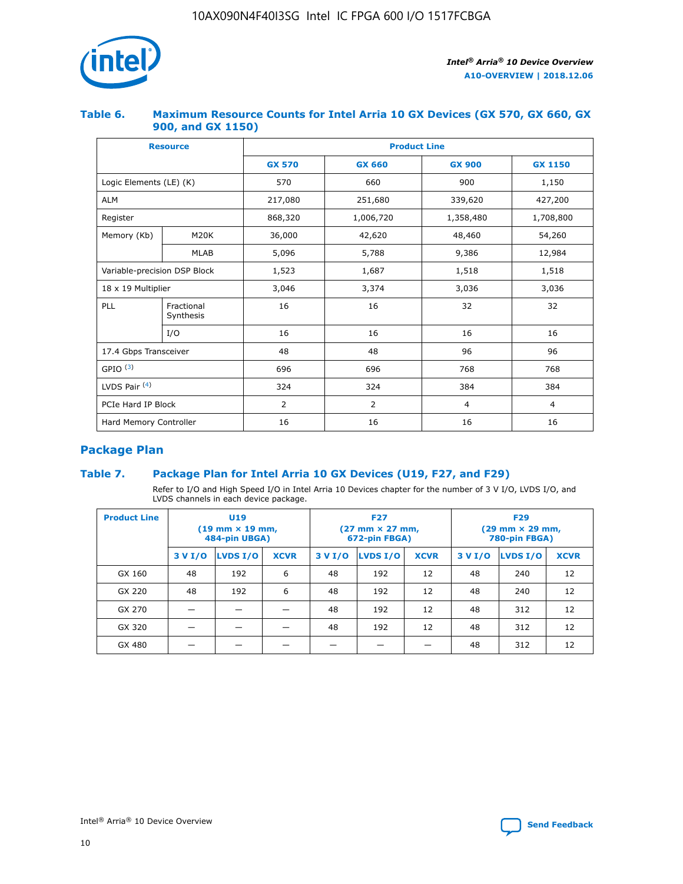

## **Table 6. Maximum Resource Counts for Intel Arria 10 GX Devices (GX 570, GX 660, GX 900, and GX 1150)**

|                              | <b>Resource</b>         | <b>Product Line</b> |                |                |                |  |  |  |
|------------------------------|-------------------------|---------------------|----------------|----------------|----------------|--|--|--|
|                              |                         | <b>GX 570</b>       | <b>GX 660</b>  | <b>GX 900</b>  | <b>GX 1150</b> |  |  |  |
| Logic Elements (LE) (K)      |                         | 570                 | 660            | 900            | 1,150          |  |  |  |
| <b>ALM</b>                   |                         | 217,080             | 251,680        | 339,620        | 427,200        |  |  |  |
| Register                     |                         | 868,320             | 1,006,720      |                | 1,708,800      |  |  |  |
| Memory (Kb)                  | <b>M20K</b>             | 36,000              | 42,620         | 48,460         | 54,260         |  |  |  |
|                              | <b>MLAB</b>             | 5,096               | 5,788          | 9,386          | 12,984         |  |  |  |
| Variable-precision DSP Block |                         | 1,523               | 1,687          | 1,518          | 1,518          |  |  |  |
| $18 \times 19$ Multiplier    |                         | 3,046               | 3,374<br>3,036 |                | 3,036          |  |  |  |
| PLL                          | Fractional<br>Synthesis | 16                  | 16             | 32             | 32             |  |  |  |
|                              | I/O                     | 16                  | 16             | 16             | 16             |  |  |  |
| 17.4 Gbps Transceiver        |                         | 48                  | 48<br>96       |                | 96             |  |  |  |
| GPIO <sup>(3)</sup>          |                         | 696                 | 696            | 768            | 768            |  |  |  |
| LVDS Pair $(4)$              |                         | 324                 | 324            | 384            | 384            |  |  |  |
| PCIe Hard IP Block           |                         | 2                   | $\overline{2}$ | $\overline{4}$ | $\overline{4}$ |  |  |  |
| Hard Memory Controller       |                         | 16                  | 16             | 16             | 16             |  |  |  |

# **Package Plan**

# **Table 7. Package Plan for Intel Arria 10 GX Devices (U19, F27, and F29)**

Refer to I/O and High Speed I/O in Intel Arria 10 Devices chapter for the number of 3 V I/O, LVDS I/O, and LVDS channels in each device package.

| <b>Product Line</b> | U <sub>19</sub><br>$(19 \text{ mm} \times 19 \text{ mm})$<br>484-pin UBGA) |          |             |         | <b>F27</b><br>(27 mm × 27 mm,<br>672-pin FBGA) |             | <b>F29</b><br>$(29 \text{ mm} \times 29 \text{ mm})$<br>780-pin FBGA) |          |             |  |
|---------------------|----------------------------------------------------------------------------|----------|-------------|---------|------------------------------------------------|-------------|-----------------------------------------------------------------------|----------|-------------|--|
|                     | 3 V I/O                                                                    | LVDS I/O | <b>XCVR</b> | 3 V I/O | LVDS I/O                                       | <b>XCVR</b> | 3 V I/O                                                               | LVDS I/O | <b>XCVR</b> |  |
| GX 160              | 48                                                                         | 192      | 6           | 48      | 192                                            | 12          | 48                                                                    | 240      | 12          |  |
| GX 220              | 48                                                                         | 192      | 6           | 48      | 192                                            | 12          | 48                                                                    | 240      | 12          |  |
| GX 270              |                                                                            |          |             | 48      | 192                                            | 12          | 48                                                                    | 312      | 12          |  |
| GX 320              |                                                                            |          |             | 48      | 192                                            | 12          | 48                                                                    | 312      | 12          |  |
| GX 480              |                                                                            |          |             |         |                                                |             | 48                                                                    | 312      | 12          |  |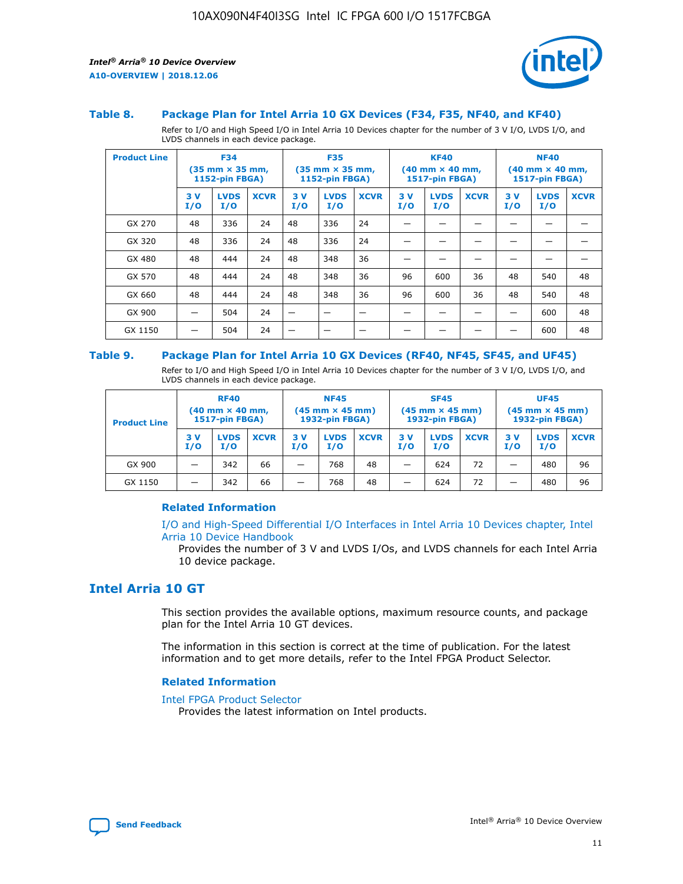

#### **Table 8. Package Plan for Intel Arria 10 GX Devices (F34, F35, NF40, and KF40)**

Refer to I/O and High Speed I/O in Intel Arria 10 Devices chapter for the number of 3 V I/O, LVDS I/O, and LVDS channels in each device package.

| <b>Product Line</b> | <b>F34</b><br>$(35 \text{ mm} \times 35 \text{ mm})$<br>1152-pin FBGA) |                    | <b>F35</b><br>$(35 \text{ mm} \times 35 \text{ mm})$<br><b>1152-pin FBGA)</b> |           | <b>KF40</b><br>$(40$ mm $\times$ 40 mm,<br>1517-pin FBGA) |             |           | <b>NF40</b><br>$(40$ mm $\times$ 40 mm,<br><b>1517-pin FBGA)</b> |             |            |                    |             |
|---------------------|------------------------------------------------------------------------|--------------------|-------------------------------------------------------------------------------|-----------|-----------------------------------------------------------|-------------|-----------|------------------------------------------------------------------|-------------|------------|--------------------|-------------|
|                     | 3V<br>I/O                                                              | <b>LVDS</b><br>I/O | <b>XCVR</b>                                                                   | 3V<br>I/O | <b>LVDS</b><br>I/O                                        | <b>XCVR</b> | 3V<br>I/O | <b>LVDS</b><br>I/O                                               | <b>XCVR</b> | 3 V<br>I/O | <b>LVDS</b><br>I/O | <b>XCVR</b> |
| GX 270              | 48                                                                     | 336                | 24                                                                            | 48        | 336                                                       | 24          |           |                                                                  |             |            |                    |             |
| GX 320              | 48                                                                     | 336                | 24                                                                            | 48        | 336                                                       | 24          |           |                                                                  |             |            |                    |             |
| GX 480              | 48                                                                     | 444                | 24                                                                            | 48        | 348                                                       | 36          |           |                                                                  |             |            |                    |             |
| GX 570              | 48                                                                     | 444                | 24                                                                            | 48        | 348                                                       | 36          | 96        | 600                                                              | 36          | 48         | 540                | 48          |
| GX 660              | 48                                                                     | 444                | 24                                                                            | 48        | 348                                                       | 36          | 96        | 600                                                              | 36          | 48         | 540                | 48          |
| GX 900              |                                                                        | 504                | 24                                                                            | -         |                                                           |             |           |                                                                  |             |            | 600                | 48          |
| GX 1150             |                                                                        | 504                | 24                                                                            |           |                                                           |             |           |                                                                  |             |            | 600                | 48          |

#### **Table 9. Package Plan for Intel Arria 10 GX Devices (RF40, NF45, SF45, and UF45)**

Refer to I/O and High Speed I/O in Intel Arria 10 Devices chapter for the number of 3 V I/O, LVDS I/O, and LVDS channels in each device package.

| <b>Product Line</b> | <b>RF40</b><br>$(40$ mm $\times$ 40 mm,<br>1517-pin FBGA) |                    | <b>NF45</b><br>$(45 \text{ mm} \times 45 \text{ mm})$<br><b>1932-pin FBGA)</b> |            |                    | <b>SF45</b><br>$(45 \text{ mm} \times 45 \text{ mm})$<br><b>1932-pin FBGA)</b> |            |                    | <b>UF45</b><br>$(45 \text{ mm} \times 45 \text{ mm})$<br><b>1932-pin FBGA)</b> |           |                    |             |
|---------------------|-----------------------------------------------------------|--------------------|--------------------------------------------------------------------------------|------------|--------------------|--------------------------------------------------------------------------------|------------|--------------------|--------------------------------------------------------------------------------|-----------|--------------------|-------------|
|                     | 3V<br>I/O                                                 | <b>LVDS</b><br>I/O | <b>XCVR</b>                                                                    | 3 V<br>I/O | <b>LVDS</b><br>I/O | <b>XCVR</b>                                                                    | 3 V<br>I/O | <b>LVDS</b><br>I/O | <b>XCVR</b>                                                                    | 3V<br>I/O | <b>LVDS</b><br>I/O | <b>XCVR</b> |
| GX 900              |                                                           | 342                | 66                                                                             | _          | 768                | 48                                                                             |            | 624                | 72                                                                             |           | 480                | 96          |
| GX 1150             |                                                           | 342                | 66                                                                             | _          | 768                | 48                                                                             |            | 624                | 72                                                                             |           | 480                | 96          |

### **Related Information**

[I/O and High-Speed Differential I/O Interfaces in Intel Arria 10 Devices chapter, Intel](https://www.intel.com/content/www/us/en/programmable/documentation/sam1403482614086.html#sam1403482030321) [Arria 10 Device Handbook](https://www.intel.com/content/www/us/en/programmable/documentation/sam1403482614086.html#sam1403482030321)

Provides the number of 3 V and LVDS I/Os, and LVDS channels for each Intel Arria 10 device package.

# **Intel Arria 10 GT**

This section provides the available options, maximum resource counts, and package plan for the Intel Arria 10 GT devices.

The information in this section is correct at the time of publication. For the latest information and to get more details, refer to the Intel FPGA Product Selector.

#### **Related Information**

#### [Intel FPGA Product Selector](http://www.altera.com/products/selector/psg-selector.html)

Provides the latest information on Intel products.

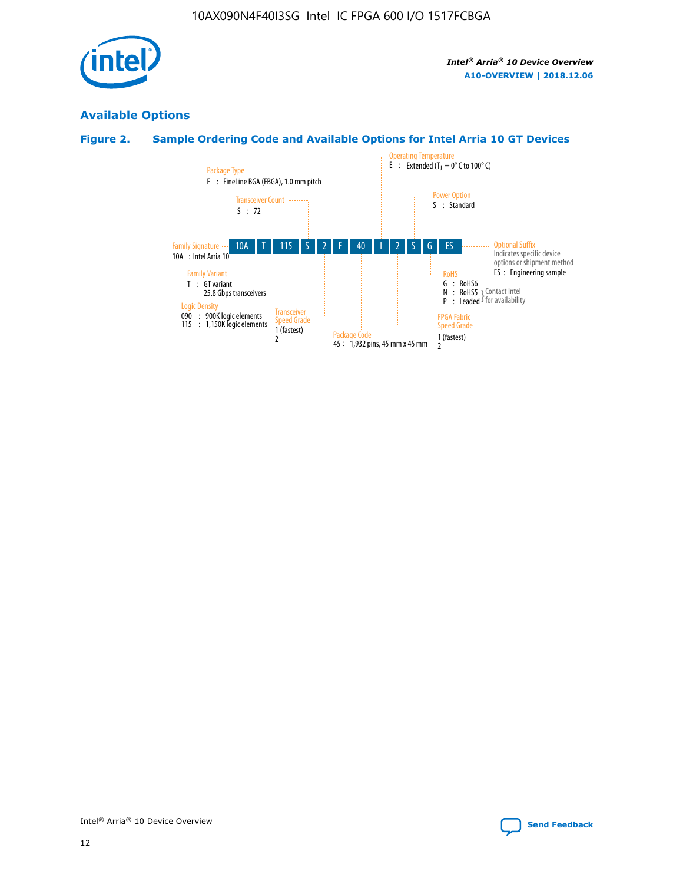

# **Available Options**

# **Figure 2. Sample Ordering Code and Available Options for Intel Arria 10 GT Devices**

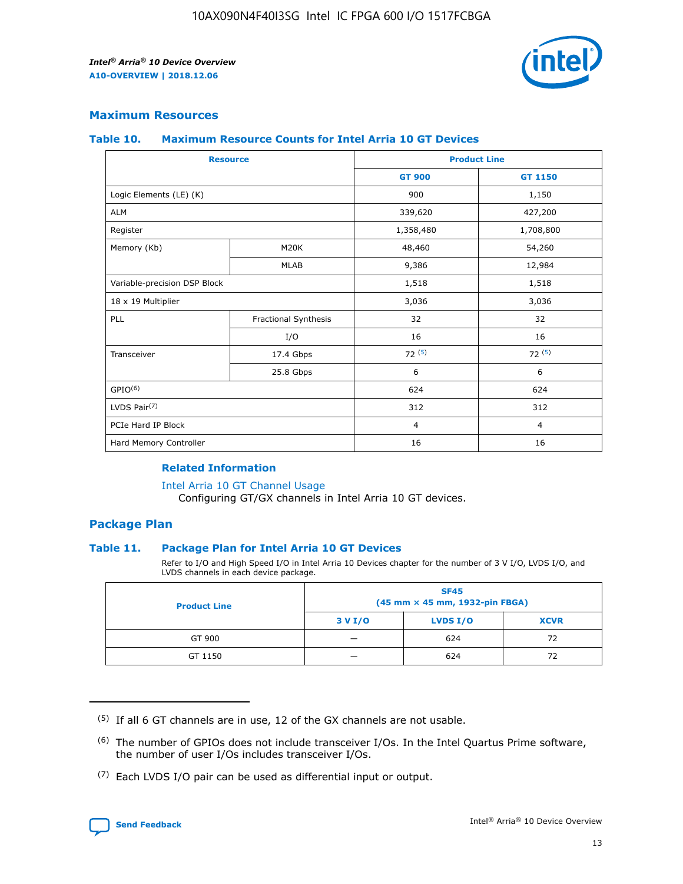

## **Maximum Resources**

#### **Table 10. Maximum Resource Counts for Intel Arria 10 GT Devices**

|                              | <b>Resource</b>      | <b>Product Line</b> |                |  |
|------------------------------|----------------------|---------------------|----------------|--|
|                              |                      | <b>GT 900</b>       | GT 1150        |  |
| Logic Elements (LE) (K)      |                      | 900                 | 1,150          |  |
| <b>ALM</b>                   |                      | 339,620             | 427,200        |  |
| Register                     |                      | 1,358,480           | 1,708,800      |  |
| Memory (Kb)                  | M20K                 | 48,460              | 54,260         |  |
|                              | <b>MLAB</b>          | 9,386               | 12,984         |  |
| Variable-precision DSP Block |                      | 1,518               | 1,518          |  |
| 18 x 19 Multiplier           |                      | 3,036               | 3,036          |  |
| <b>PLL</b>                   | Fractional Synthesis | 32                  | 32             |  |
|                              | I/O                  | 16                  | 16             |  |
| Transceiver                  | 17.4 Gbps            | 72(5)               | 72(5)          |  |
|                              | 25.8 Gbps            | 6                   | 6              |  |
| GPIO <sup>(6)</sup>          |                      | 624                 | 624            |  |
| LVDS Pair $(7)$              |                      | 312                 | 312            |  |
| PCIe Hard IP Block           |                      | $\overline{4}$      | $\overline{4}$ |  |
| Hard Memory Controller       |                      | 16                  | 16             |  |

### **Related Information**

#### [Intel Arria 10 GT Channel Usage](https://www.intel.com/content/www/us/en/programmable/documentation/nik1398707230472.html#nik1398707008178)

Configuring GT/GX channels in Intel Arria 10 GT devices.

## **Package Plan**

### **Table 11. Package Plan for Intel Arria 10 GT Devices**

Refer to I/O and High Speed I/O in Intel Arria 10 Devices chapter for the number of 3 V I/O, LVDS I/O, and LVDS channels in each device package.

| <b>Product Line</b> | <b>SF45</b><br>(45 mm × 45 mm, 1932-pin FBGA) |                 |             |  |  |  |
|---------------------|-----------------------------------------------|-----------------|-------------|--|--|--|
|                     | 3 V I/O                                       | <b>LVDS I/O</b> | <b>XCVR</b> |  |  |  |
| GT 900              |                                               | 624             | 72          |  |  |  |
| GT 1150             |                                               | 624             |             |  |  |  |

<sup>(7)</sup> Each LVDS I/O pair can be used as differential input or output.



 $(5)$  If all 6 GT channels are in use, 12 of the GX channels are not usable.

<sup>(6)</sup> The number of GPIOs does not include transceiver I/Os. In the Intel Quartus Prime software, the number of user I/Os includes transceiver I/Os.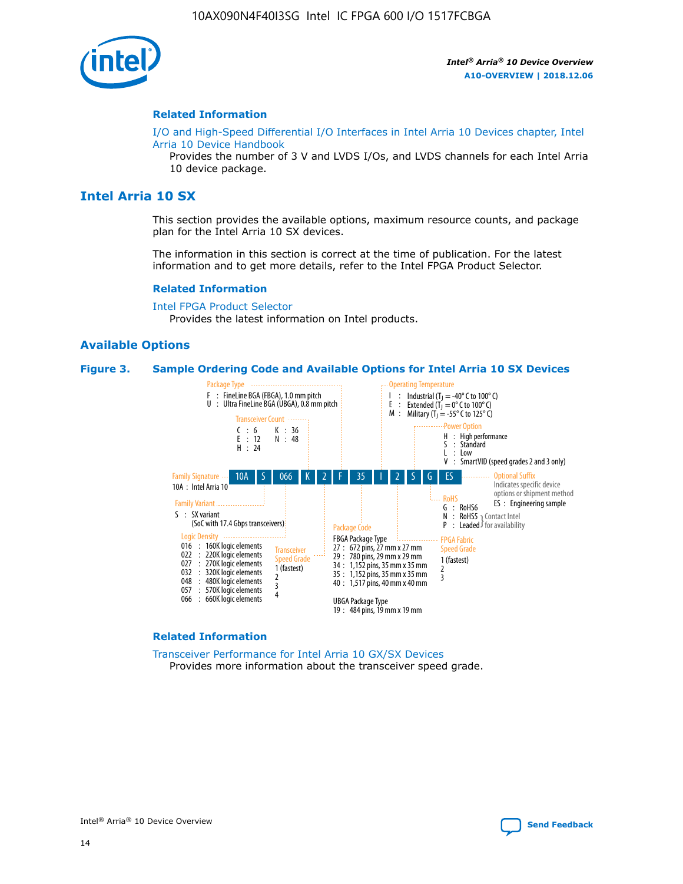

#### **Related Information**

[I/O and High-Speed Differential I/O Interfaces in Intel Arria 10 Devices chapter, Intel](https://www.intel.com/content/www/us/en/programmable/documentation/sam1403482614086.html#sam1403482030321) [Arria 10 Device Handbook](https://www.intel.com/content/www/us/en/programmable/documentation/sam1403482614086.html#sam1403482030321)

Provides the number of 3 V and LVDS I/Os, and LVDS channels for each Intel Arria 10 device package.

# **Intel Arria 10 SX**

This section provides the available options, maximum resource counts, and package plan for the Intel Arria 10 SX devices.

The information in this section is correct at the time of publication. For the latest information and to get more details, refer to the Intel FPGA Product Selector.

#### **Related Information**

[Intel FPGA Product Selector](http://www.altera.com/products/selector/psg-selector.html) Provides the latest information on Intel products.

#### **Available Options**

#### **Figure 3. Sample Ordering Code and Available Options for Intel Arria 10 SX Devices**



#### **Related Information**

[Transceiver Performance for Intel Arria 10 GX/SX Devices](https://www.intel.com/content/www/us/en/programmable/documentation/mcn1413182292568.html#mcn1413213965502) Provides more information about the transceiver speed grade.

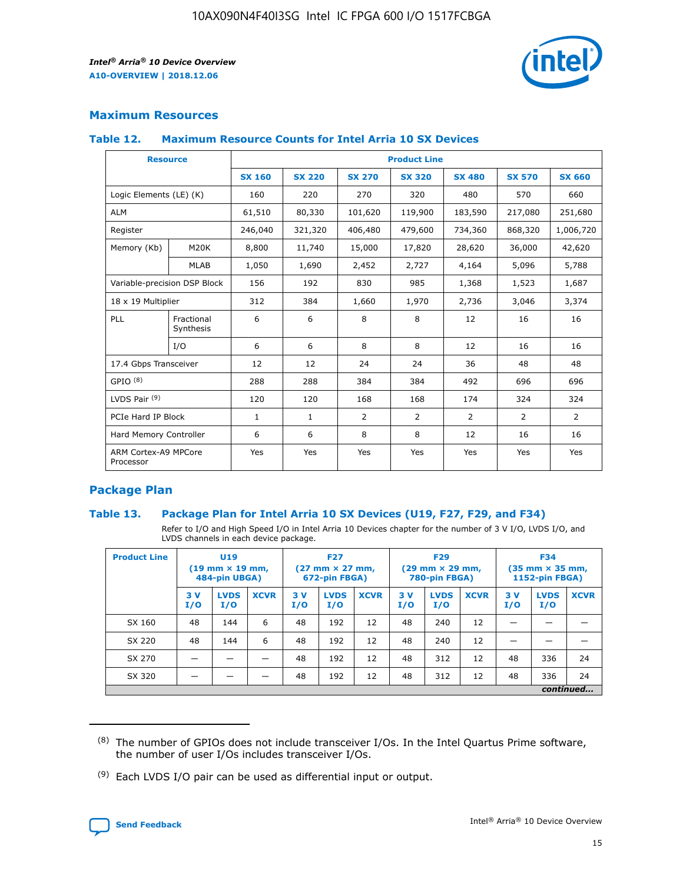

# **Maximum Resources**

### **Table 12. Maximum Resource Counts for Intel Arria 10 SX Devices**

| <b>Resource</b>                   |                         | <b>Product Line</b> |               |                |                |                |                |                |  |  |  |
|-----------------------------------|-------------------------|---------------------|---------------|----------------|----------------|----------------|----------------|----------------|--|--|--|
|                                   |                         | <b>SX 160</b>       | <b>SX 220</b> | <b>SX 270</b>  | <b>SX 320</b>  | <b>SX 480</b>  | <b>SX 570</b>  | <b>SX 660</b>  |  |  |  |
| Logic Elements (LE) (K)           |                         | 160                 | 220           | 270            | 320            | 480            | 570            | 660            |  |  |  |
| <b>ALM</b>                        |                         | 61,510              | 80,330        | 101,620        | 119,900        | 183,590        | 217,080        | 251,680        |  |  |  |
| Register                          |                         | 246,040             | 321,320       | 406,480        | 479,600        | 734,360        | 868,320        | 1,006,720      |  |  |  |
| Memory (Kb)                       | M <sub>20</sub> K       | 8,800               | 11,740        | 15,000         | 17,820         | 28,620         | 36,000         | 42,620         |  |  |  |
|                                   | <b>MLAB</b>             | 1,050               | 1,690         | 2,452          | 2,727          | 4,164          | 5,096          | 5,788          |  |  |  |
| Variable-precision DSP Block      |                         | 156                 | 192           | 830            | 985            | 1,368          | 1,523          | 1,687          |  |  |  |
| 18 x 19 Multiplier                |                         | 312                 | 384           | 1,660          | 1,970          | 2,736          | 3,046          | 3,374          |  |  |  |
| PLL                               | Fractional<br>Synthesis | 6                   | 6             | 8              | 8              | 12             | 16             | 16             |  |  |  |
|                                   | I/O                     | 6                   | 6             | 8              | 8              | 12             | 16             | 16             |  |  |  |
| 17.4 Gbps Transceiver             |                         | 12                  | 12            | 24             | 24             | 36             | 48             | 48             |  |  |  |
| GPIO <sup>(8)</sup>               |                         | 288                 | 288           | 384            | 384            | 492            | 696            | 696            |  |  |  |
| LVDS Pair $(9)$                   |                         | 120                 | 120           | 168            | 168            | 174            | 324            | 324            |  |  |  |
| PCIe Hard IP Block                |                         | $\mathbf{1}$        | $\mathbf{1}$  | $\overline{2}$ | $\overline{2}$ | $\overline{2}$ | $\overline{2}$ | $\overline{2}$ |  |  |  |
| Hard Memory Controller            |                         | 6                   | 6             | 8              | 8              | 12             | 16             | 16             |  |  |  |
| ARM Cortex-A9 MPCore<br>Processor |                         | Yes                 | Yes           | Yes            | Yes            | Yes            | Yes            | <b>Yes</b>     |  |  |  |

# **Package Plan**

### **Table 13. Package Plan for Intel Arria 10 SX Devices (U19, F27, F29, and F34)**

Refer to I/O and High Speed I/O in Intel Arria 10 Devices chapter for the number of 3 V I/O, LVDS I/O, and LVDS channels in each device package.

| <b>Product Line</b> | U19<br>$(19 \text{ mm} \times 19 \text{ mm})$<br>484-pin UBGA) |                    | <b>F27</b><br>$(27 \text{ mm} \times 27 \text{ mm})$<br>672-pin FBGA) |           | <b>F29</b><br>$(29 \text{ mm} \times 29 \text{ mm})$<br>780-pin FBGA) |             |            | <b>F34</b><br>$(35 \text{ mm} \times 35 \text{ mm})$<br><b>1152-pin FBGA)</b> |             |           |                    |             |
|---------------------|----------------------------------------------------------------|--------------------|-----------------------------------------------------------------------|-----------|-----------------------------------------------------------------------|-------------|------------|-------------------------------------------------------------------------------|-------------|-----------|--------------------|-------------|
|                     | 3V<br>I/O                                                      | <b>LVDS</b><br>I/O | <b>XCVR</b>                                                           | 3V<br>I/O | <b>LVDS</b><br>I/O                                                    | <b>XCVR</b> | 3 V<br>I/O | <b>LVDS</b><br>I/O                                                            | <b>XCVR</b> | 3V<br>I/O | <b>LVDS</b><br>I/O | <b>XCVR</b> |
| SX 160              | 48                                                             | 144                | 6                                                                     | 48        | 192                                                                   | 12          | 48         | 240                                                                           | 12          | –         |                    |             |
| SX 220              | 48                                                             | 144                | 6                                                                     | 48        | 192                                                                   | 12          | 48         | 240                                                                           | 12          |           |                    |             |
| SX 270              |                                                                |                    |                                                                       | 48        | 192                                                                   | 12          | 48         | 312                                                                           | 12          | 48        | 336                | 24          |
| SX 320              |                                                                |                    |                                                                       | 48        | 192                                                                   | 12          | 48         | 312                                                                           | 12          | 48        | 336                | 24          |
|                     | continued                                                      |                    |                                                                       |           |                                                                       |             |            |                                                                               |             |           |                    |             |

 $(8)$  The number of GPIOs does not include transceiver I/Os. In the Intel Quartus Prime software, the number of user I/Os includes transceiver I/Os.

 $(9)$  Each LVDS I/O pair can be used as differential input or output.

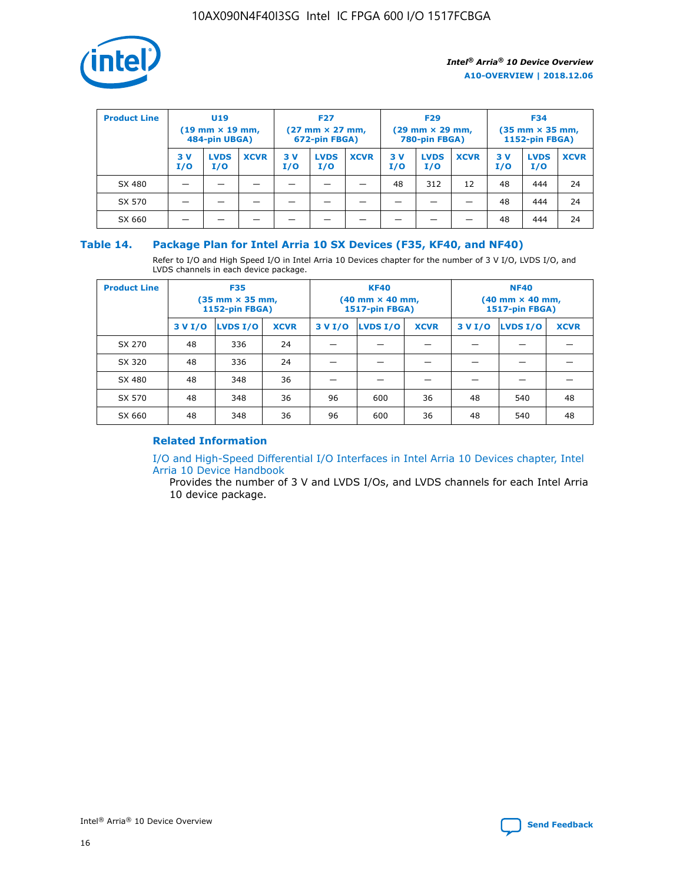

| <b>Product Line</b> | U <sub>19</sub><br>$(19$ mm $\times$ 19 mm,<br>484-pin UBGA) |                    | <b>F27</b><br>$(27 \text{ mm} \times 27 \text{ mm})$<br>672-pin FBGA) |           |                    | <b>F29</b><br>$(29 \text{ mm} \times 29 \text{ mm})$<br>780-pin FBGA) |           |                    | <b>F34</b><br>$(35$ mm $\times$ 35 mm,<br>1152-pin FBGA) |           |                    |             |
|---------------------|--------------------------------------------------------------|--------------------|-----------------------------------------------------------------------|-----------|--------------------|-----------------------------------------------------------------------|-----------|--------------------|----------------------------------------------------------|-----------|--------------------|-------------|
|                     | 3 V<br>I/O                                                   | <b>LVDS</b><br>I/O | <b>XCVR</b>                                                           | 3V<br>I/O | <b>LVDS</b><br>I/O | <b>XCVR</b>                                                           | 3V<br>I/O | <b>LVDS</b><br>I/O | <b>XCVR</b>                                              | 3V<br>I/O | <b>LVDS</b><br>I/O | <b>XCVR</b> |
| SX 480              |                                                              |                    |                                                                       |           |                    |                                                                       | 48        | 312                | 12                                                       | 48        | 444                | 24          |
| SX 570              |                                                              |                    |                                                                       |           |                    |                                                                       |           |                    |                                                          | 48        | 444                | 24          |
| SX 660              |                                                              |                    |                                                                       |           |                    |                                                                       |           |                    |                                                          | 48        | 444                | 24          |

## **Table 14. Package Plan for Intel Arria 10 SX Devices (F35, KF40, and NF40)**

Refer to I/O and High Speed I/O in Intel Arria 10 Devices chapter for the number of 3 V I/O, LVDS I/O, and LVDS channels in each device package.

| <b>Product Line</b> | <b>F35</b><br>$(35$ mm $\times$ 35 mm,<br><b>1152-pin FBGA)</b> |          |             |                                           | <b>KF40</b><br>(40 mm × 40 mm,<br>1517-pin FBGA) |    | <b>NF40</b><br>(40 mm × 40 mm,<br>1517-pin FBGA) |          |             |  |
|---------------------|-----------------------------------------------------------------|----------|-------------|-------------------------------------------|--------------------------------------------------|----|--------------------------------------------------|----------|-------------|--|
|                     | 3 V I/O                                                         | LVDS I/O | <b>XCVR</b> | <b>LVDS I/O</b><br><b>XCVR</b><br>3 V I/O |                                                  |    | 3 V I/O                                          | LVDS I/O | <b>XCVR</b> |  |
| SX 270              | 48                                                              | 336      | 24          |                                           |                                                  |    |                                                  |          |             |  |
| SX 320              | 48                                                              | 336      | 24          |                                           |                                                  |    |                                                  |          |             |  |
| SX 480              | 48                                                              | 348      | 36          |                                           |                                                  |    |                                                  |          |             |  |
| SX 570              | 48                                                              | 348      | 36          | 96                                        | 600                                              | 36 | 48                                               | 540      | 48          |  |
| SX 660              | 48                                                              | 348      | 36          | 96                                        | 600                                              | 36 | 48                                               | 540      | 48          |  |

# **Related Information**

[I/O and High-Speed Differential I/O Interfaces in Intel Arria 10 Devices chapter, Intel](https://www.intel.com/content/www/us/en/programmable/documentation/sam1403482614086.html#sam1403482030321) [Arria 10 Device Handbook](https://www.intel.com/content/www/us/en/programmable/documentation/sam1403482614086.html#sam1403482030321)

Provides the number of 3 V and LVDS I/Os, and LVDS channels for each Intel Arria 10 device package.

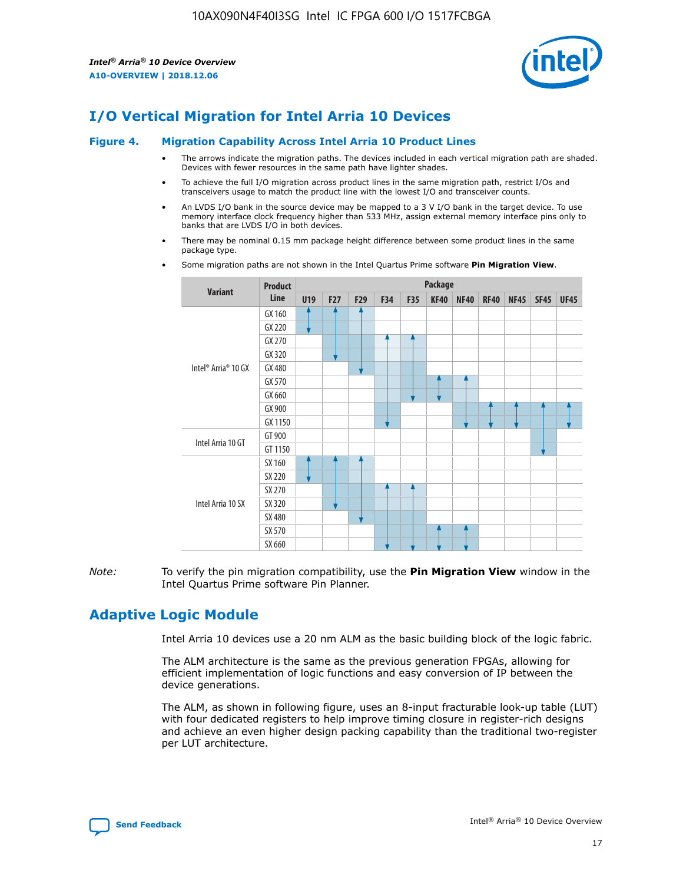

# **I/O Vertical Migration for Intel Arria 10 Devices**

#### **Figure 4. Migration Capability Across Intel Arria 10 Product Lines**

- The arrows indicate the migration paths. The devices included in each vertical migration path are shaded. Devices with fewer resources in the same path have lighter shades.
- To achieve the full I/O migration across product lines in the same migration path, restrict I/Os and transceivers usage to match the product line with the lowest I/O and transceiver counts.
- An LVDS I/O bank in the source device may be mapped to a 3 V I/O bank in the target device. To use memory interface clock frequency higher than 533 MHz, assign external memory interface pins only to banks that are LVDS I/O in both devices.
- There may be nominal 0.15 mm package height difference between some product lines in the same package type.
	- **Variant Product Line Package U19 F27 F29 F34 F35 KF40 NF40 RF40 NF45 SF45 UF45** Intel® Arria® 10 GX GX 160 GX 220 GX 270 GX 320 GX 480 GX 570 GX 660 GX 900 GX 1150 Intel Arria 10 GT GT 900 GT 1150 Intel Arria 10 SX SX 160 SX 220 SX 270 SX 320 SX 480 SX 570 SX 660
- Some migration paths are not shown in the Intel Quartus Prime software **Pin Migration View**.

*Note:* To verify the pin migration compatibility, use the **Pin Migration View** window in the Intel Quartus Prime software Pin Planner.

# **Adaptive Logic Module**

Intel Arria 10 devices use a 20 nm ALM as the basic building block of the logic fabric.

The ALM architecture is the same as the previous generation FPGAs, allowing for efficient implementation of logic functions and easy conversion of IP between the device generations.

The ALM, as shown in following figure, uses an 8-input fracturable look-up table (LUT) with four dedicated registers to help improve timing closure in register-rich designs and achieve an even higher design packing capability than the traditional two-register per LUT architecture.

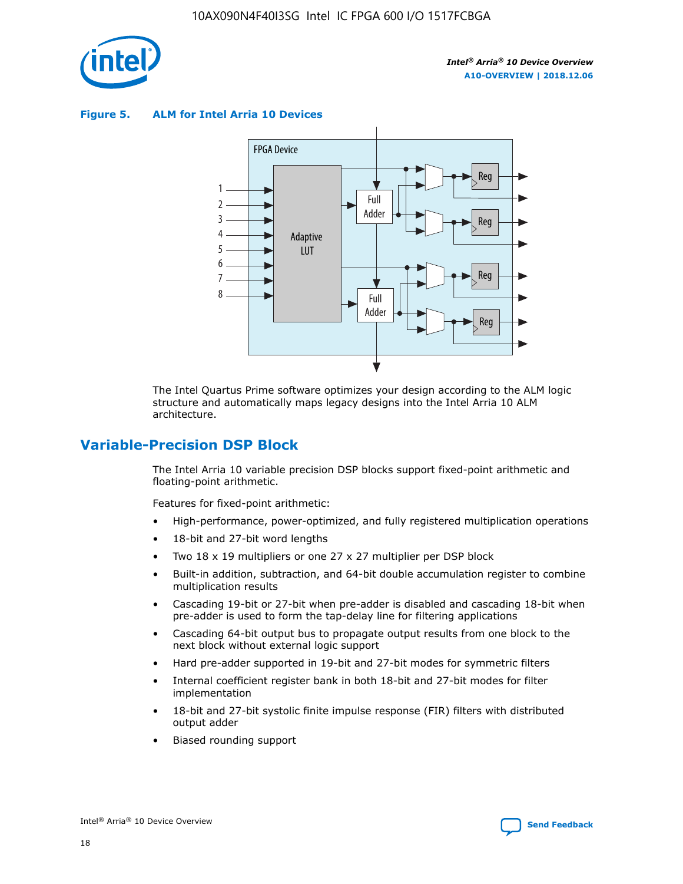

**Figure 5. ALM for Intel Arria 10 Devices**



The Intel Quartus Prime software optimizes your design according to the ALM logic structure and automatically maps legacy designs into the Intel Arria 10 ALM architecture.

# **Variable-Precision DSP Block**

The Intel Arria 10 variable precision DSP blocks support fixed-point arithmetic and floating-point arithmetic.

Features for fixed-point arithmetic:

- High-performance, power-optimized, and fully registered multiplication operations
- 18-bit and 27-bit word lengths
- Two 18 x 19 multipliers or one 27 x 27 multiplier per DSP block
- Built-in addition, subtraction, and 64-bit double accumulation register to combine multiplication results
- Cascading 19-bit or 27-bit when pre-adder is disabled and cascading 18-bit when pre-adder is used to form the tap-delay line for filtering applications
- Cascading 64-bit output bus to propagate output results from one block to the next block without external logic support
- Hard pre-adder supported in 19-bit and 27-bit modes for symmetric filters
- Internal coefficient register bank in both 18-bit and 27-bit modes for filter implementation
- 18-bit and 27-bit systolic finite impulse response (FIR) filters with distributed output adder
- Biased rounding support

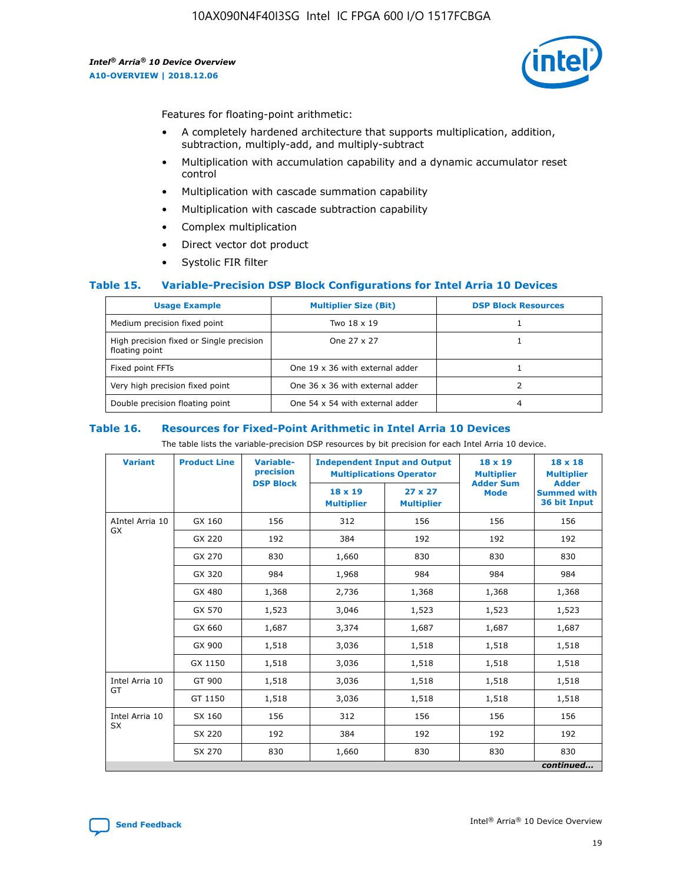

Features for floating-point arithmetic:

- A completely hardened architecture that supports multiplication, addition, subtraction, multiply-add, and multiply-subtract
- Multiplication with accumulation capability and a dynamic accumulator reset control
- Multiplication with cascade summation capability
- Multiplication with cascade subtraction capability
- Complex multiplication
- Direct vector dot product
- Systolic FIR filter

### **Table 15. Variable-Precision DSP Block Configurations for Intel Arria 10 Devices**

| <b>Usage Example</b>                                       | <b>Multiplier Size (Bit)</b>    | <b>DSP Block Resources</b> |
|------------------------------------------------------------|---------------------------------|----------------------------|
| Medium precision fixed point                               | Two 18 x 19                     |                            |
| High precision fixed or Single precision<br>floating point | One 27 x 27                     |                            |
| Fixed point FFTs                                           | One 19 x 36 with external adder |                            |
| Very high precision fixed point                            | One 36 x 36 with external adder |                            |
| Double precision floating point                            | One 54 x 54 with external adder | 4                          |

#### **Table 16. Resources for Fixed-Point Arithmetic in Intel Arria 10 Devices**

The table lists the variable-precision DSP resources by bit precision for each Intel Arria 10 device.

| <b>Variant</b>  | <b>Product Line</b> | Variable-<br>precision<br><b>DSP Block</b> | <b>Independent Input and Output</b><br><b>Multiplications Operator</b> |                                     | $18 \times 19$<br><b>Multiplier</b><br><b>Adder Sum</b> | $18 \times 18$<br><b>Multiplier</b><br><b>Adder</b> |
|-----------------|---------------------|--------------------------------------------|------------------------------------------------------------------------|-------------------------------------|---------------------------------------------------------|-----------------------------------------------------|
|                 |                     |                                            | 18 x 19<br><b>Multiplier</b>                                           | $27 \times 27$<br><b>Multiplier</b> | <b>Mode</b>                                             | <b>Summed with</b><br>36 bit Input                  |
| AIntel Arria 10 | GX 160              | 156                                        | 312                                                                    | 156                                 | 156                                                     | 156                                                 |
| GX              | GX 220              | 192                                        | 384                                                                    | 192                                 | 192                                                     | 192                                                 |
|                 | GX 270              | 830                                        | 1,660                                                                  | 830                                 | 830                                                     | 830                                                 |
|                 | GX 320              | 984                                        | 1,968                                                                  | 984                                 | 984                                                     | 984                                                 |
|                 | GX 480              | 1,368                                      | 2,736                                                                  | 1,368                               | 1,368                                                   | 1,368                                               |
|                 | GX 570              | 1,523                                      | 3,046                                                                  | 1,523                               | 1,523                                                   | 1,523                                               |
|                 | GX 660              | 1,687                                      | 3,374                                                                  | 1,687                               | 1,687                                                   | 1,687                                               |
|                 | GX 900              | 1,518                                      | 3,036                                                                  | 1,518                               | 1,518                                                   | 1,518                                               |
|                 | GX 1150             | 1,518                                      | 3,036                                                                  | 1,518                               | 1,518                                                   | 1,518                                               |
| Intel Arria 10  | GT 900              | 1,518                                      | 3,036                                                                  | 1,518                               | 1,518                                                   | 1,518                                               |
| GT              | GT 1150             | 1,518                                      | 3,036                                                                  | 1,518                               | 1,518                                                   | 1,518                                               |
| Intel Arria 10  | SX 160              | 156                                        | 312                                                                    | 156                                 | 156                                                     | 156                                                 |
| <b>SX</b>       | SX 220              | 192                                        | 384                                                                    | 192                                 | 192                                                     | 192                                                 |
|                 | SX 270              | 830                                        | 1,660                                                                  | 830                                 | 830                                                     | 830                                                 |
|                 |                     |                                            |                                                                        |                                     |                                                         | continued                                           |

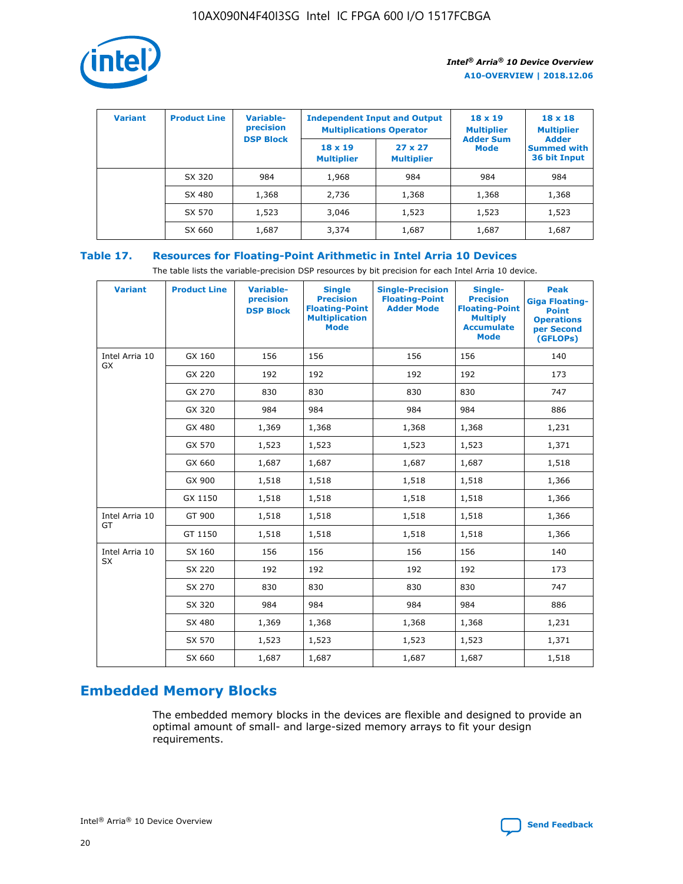

| <b>Variant</b> | <b>Product Line</b> | <b>Variable-</b><br>precision<br><b>DSP Block</b> | <b>Independent Input and Output</b><br><b>Multiplications Operator</b> |                                     | $18 \times 19$<br><b>Multiplier</b><br><b>Adder Sum</b> | $18 \times 18$<br><b>Multiplier</b><br><b>Adder</b> |  |
|----------------|---------------------|---------------------------------------------------|------------------------------------------------------------------------|-------------------------------------|---------------------------------------------------------|-----------------------------------------------------|--|
|                |                     |                                                   | $18 \times 19$<br><b>Multiplier</b>                                    | $27 \times 27$<br><b>Multiplier</b> | <b>Mode</b>                                             | <b>Summed with</b><br>36 bit Input                  |  |
|                | SX 320              | 984                                               | 1,968                                                                  | 984                                 | 984                                                     | 984                                                 |  |
|                | SX 480              | 1,368                                             | 2,736                                                                  | 1,368                               | 1,368                                                   | 1,368                                               |  |
|                | SX 570              | 1,523                                             | 3,046                                                                  | 1,523                               | 1,523                                                   | 1,523                                               |  |
|                | SX 660              | 1,687                                             | 3,374                                                                  | 1,687                               | 1,687                                                   | 1,687                                               |  |

# **Table 17. Resources for Floating-Point Arithmetic in Intel Arria 10 Devices**

The table lists the variable-precision DSP resources by bit precision for each Intel Arria 10 device.

| <b>Variant</b> | <b>Product Line</b> | <b>Variable-</b><br>precision<br><b>DSP Block</b> | <b>Single</b><br><b>Precision</b><br><b>Floating-Point</b><br><b>Multiplication</b><br><b>Mode</b> | <b>Single-Precision</b><br><b>Floating-Point</b><br><b>Adder Mode</b> | Single-<br><b>Precision</b><br><b>Floating-Point</b><br><b>Multiply</b><br><b>Accumulate</b><br><b>Mode</b> | <b>Peak</b><br><b>Giga Floating-</b><br><b>Point</b><br><b>Operations</b><br>per Second<br>(GFLOPs) |
|----------------|---------------------|---------------------------------------------------|----------------------------------------------------------------------------------------------------|-----------------------------------------------------------------------|-------------------------------------------------------------------------------------------------------------|-----------------------------------------------------------------------------------------------------|
| Intel Arria 10 | GX 160              | 156                                               | 156                                                                                                | 156                                                                   | 156                                                                                                         | 140                                                                                                 |
| GX             | GX 220              | 192                                               | 192                                                                                                | 192                                                                   | 192                                                                                                         | 173                                                                                                 |
|                | GX 270              | 830                                               | 830                                                                                                | 830                                                                   | 830                                                                                                         | 747                                                                                                 |
|                | GX 320              | 984                                               | 984                                                                                                | 984                                                                   | 984                                                                                                         | 886                                                                                                 |
|                | GX 480              | 1,369                                             | 1,368                                                                                              | 1,368                                                                 | 1,368                                                                                                       | 1,231                                                                                               |
|                | GX 570              | 1,523                                             | 1,523                                                                                              | 1,523                                                                 | 1,523                                                                                                       | 1,371                                                                                               |
|                | GX 660              | 1,687                                             | 1,687                                                                                              | 1,687                                                                 | 1,687                                                                                                       | 1,518                                                                                               |
|                | GX 900              | 1,518                                             | 1,518                                                                                              | 1,518                                                                 | 1,518                                                                                                       | 1,366                                                                                               |
|                | GX 1150             | 1,518                                             | 1,518                                                                                              | 1,518                                                                 | 1,518                                                                                                       | 1,366                                                                                               |
| Intel Arria 10 | GT 900              | 1,518                                             | 1,518                                                                                              | 1,518                                                                 | 1,518                                                                                                       | 1,366                                                                                               |
| GT             | GT 1150             | 1,518                                             | 1,518                                                                                              | 1,518                                                                 | 1,518                                                                                                       | 1,366                                                                                               |
| Intel Arria 10 | SX 160              | 156                                               | 156                                                                                                | 156                                                                   | 156                                                                                                         | 140                                                                                                 |
| <b>SX</b>      | SX 220              | 192                                               | 192                                                                                                | 192                                                                   | 192                                                                                                         | 173                                                                                                 |
|                | SX 270              | 830                                               | 830                                                                                                | 830                                                                   | 830                                                                                                         | 747                                                                                                 |
|                | SX 320              | 984                                               | 984                                                                                                | 984                                                                   | 984                                                                                                         | 886                                                                                                 |
|                | SX 480              | 1,369                                             | 1,368                                                                                              | 1,368                                                                 | 1,368                                                                                                       | 1,231                                                                                               |
|                | SX 570              | 1,523                                             | 1,523                                                                                              | 1,523                                                                 | 1,523                                                                                                       | 1,371                                                                                               |
|                | SX 660              | 1,687                                             | 1,687                                                                                              | 1,687                                                                 | 1,687                                                                                                       | 1,518                                                                                               |

# **Embedded Memory Blocks**

The embedded memory blocks in the devices are flexible and designed to provide an optimal amount of small- and large-sized memory arrays to fit your design requirements.

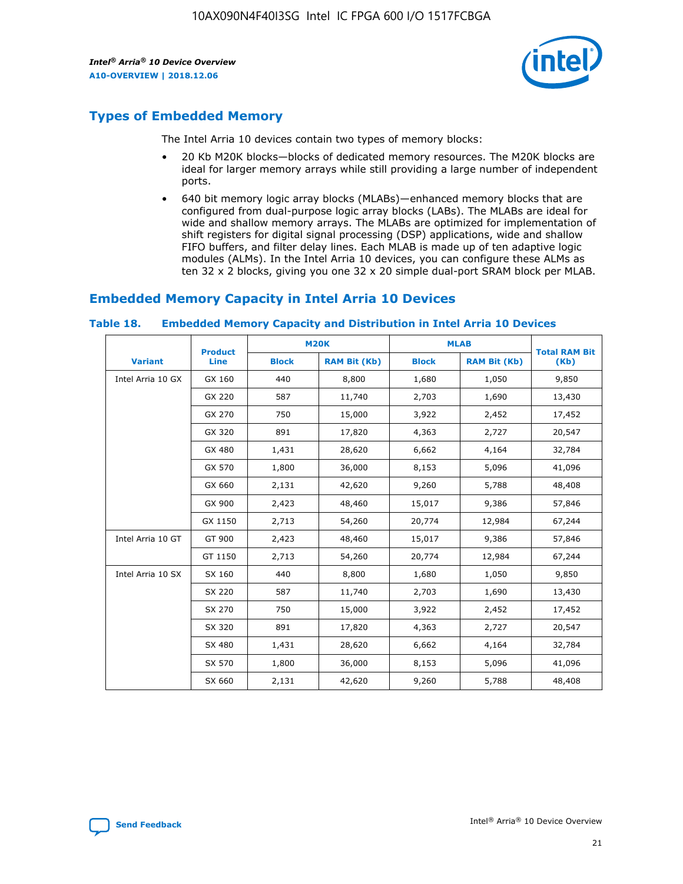

# **Types of Embedded Memory**

The Intel Arria 10 devices contain two types of memory blocks:

- 20 Kb M20K blocks—blocks of dedicated memory resources. The M20K blocks are ideal for larger memory arrays while still providing a large number of independent ports.
- 640 bit memory logic array blocks (MLABs)—enhanced memory blocks that are configured from dual-purpose logic array blocks (LABs). The MLABs are ideal for wide and shallow memory arrays. The MLABs are optimized for implementation of shift registers for digital signal processing (DSP) applications, wide and shallow FIFO buffers, and filter delay lines. Each MLAB is made up of ten adaptive logic modules (ALMs). In the Intel Arria 10 devices, you can configure these ALMs as ten 32 x 2 blocks, giving you one 32 x 20 simple dual-port SRAM block per MLAB.

# **Embedded Memory Capacity in Intel Arria 10 Devices**

|                   | <b>Product</b> |              | <b>M20K</b>         | <b>MLAB</b>  |                     | <b>Total RAM Bit</b> |
|-------------------|----------------|--------------|---------------------|--------------|---------------------|----------------------|
| <b>Variant</b>    | Line           | <b>Block</b> | <b>RAM Bit (Kb)</b> | <b>Block</b> | <b>RAM Bit (Kb)</b> | (Kb)                 |
| Intel Arria 10 GX | GX 160         | 440          | 8,800               | 1,680        | 1,050               | 9,850                |
|                   | GX 220         | 587          | 11,740              | 2,703        | 1,690               | 13,430               |
|                   | GX 270         | 750          | 15,000              | 3,922        | 2,452               | 17,452               |
|                   | GX 320         | 891          | 17,820              | 4,363        | 2,727               | 20,547               |
|                   | GX 480         | 1,431        | 28,620              | 6,662        | 4,164               | 32,784               |
|                   | GX 570         | 1,800        | 36,000              | 8,153        | 5,096               | 41,096               |
|                   | GX 660         | 2,131        | 42,620              | 9,260        | 5,788               | 48,408               |
|                   | GX 900         | 2,423        | 48,460              | 15,017       | 9,386               | 57,846               |
|                   | GX 1150        | 2,713        | 54,260              | 20,774       | 12,984              | 67,244               |
| Intel Arria 10 GT | GT 900         | 2,423        | 48,460              | 15,017       | 9,386               | 57,846               |
|                   | GT 1150        | 2,713        | 54,260              | 20,774       | 12,984              | 67,244               |
| Intel Arria 10 SX | SX 160         | 440          | 8,800               | 1,680        | 1,050               | 9,850                |
|                   | SX 220         | 587          | 11,740              | 2,703        | 1,690               | 13,430               |
|                   | SX 270         | 750          | 15,000              | 3,922        | 2,452               | 17,452               |
|                   | SX 320         | 891          | 17,820              | 4,363        | 2,727               | 20,547               |
|                   | SX 480         | 1,431        | 28,620              | 6,662        | 4,164               | 32,784               |
|                   | SX 570         | 1,800        | 36,000              | 8,153        | 5,096               | 41,096               |
|                   | SX 660         | 2,131        | 42,620              | 9,260        | 5,788               | 48,408               |

#### **Table 18. Embedded Memory Capacity and Distribution in Intel Arria 10 Devices**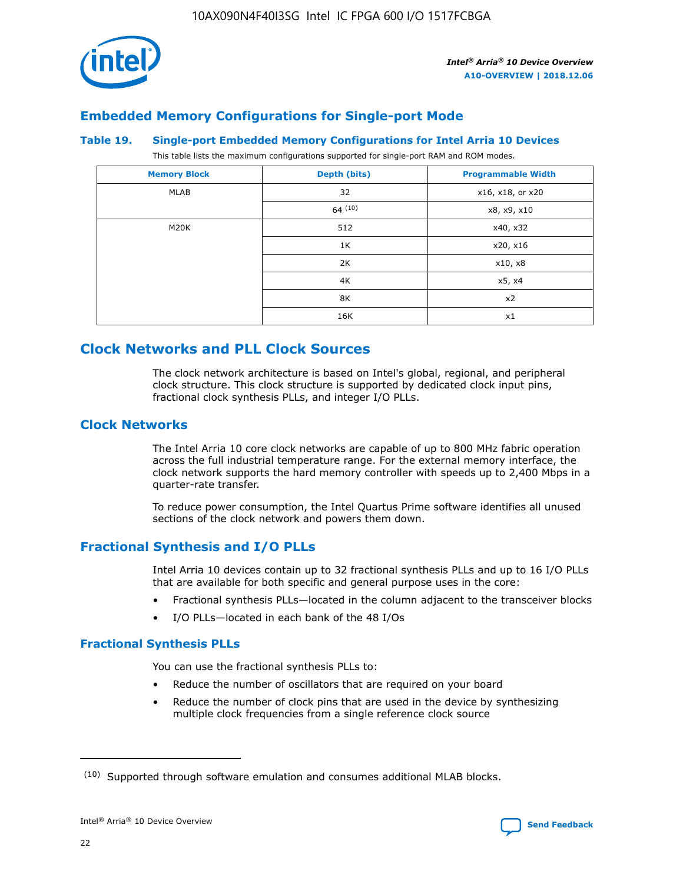

# **Embedded Memory Configurations for Single-port Mode**

#### **Table 19. Single-port Embedded Memory Configurations for Intel Arria 10 Devices**

This table lists the maximum configurations supported for single-port RAM and ROM modes.

| <b>Memory Block</b> | Depth (bits) | <b>Programmable Width</b> |
|---------------------|--------------|---------------------------|
| MLAB                | 32           | x16, x18, or x20          |
|                     | 64(10)       | x8, x9, x10               |
| M20K                | 512          | x40, x32                  |
|                     | 1K           | x20, x16                  |
|                     | 2K           | x10, x8                   |
|                     | 4K           | x5, x4                    |
|                     | 8K           | x2                        |
|                     | 16K          | x1                        |

# **Clock Networks and PLL Clock Sources**

The clock network architecture is based on Intel's global, regional, and peripheral clock structure. This clock structure is supported by dedicated clock input pins, fractional clock synthesis PLLs, and integer I/O PLLs.

# **Clock Networks**

The Intel Arria 10 core clock networks are capable of up to 800 MHz fabric operation across the full industrial temperature range. For the external memory interface, the clock network supports the hard memory controller with speeds up to 2,400 Mbps in a quarter-rate transfer.

To reduce power consumption, the Intel Quartus Prime software identifies all unused sections of the clock network and powers them down.

# **Fractional Synthesis and I/O PLLs**

Intel Arria 10 devices contain up to 32 fractional synthesis PLLs and up to 16 I/O PLLs that are available for both specific and general purpose uses in the core:

- Fractional synthesis PLLs—located in the column adjacent to the transceiver blocks
- I/O PLLs—located in each bank of the 48 I/Os

### **Fractional Synthesis PLLs**

You can use the fractional synthesis PLLs to:

- Reduce the number of oscillators that are required on your board
- Reduce the number of clock pins that are used in the device by synthesizing multiple clock frequencies from a single reference clock source

<sup>(10)</sup> Supported through software emulation and consumes additional MLAB blocks.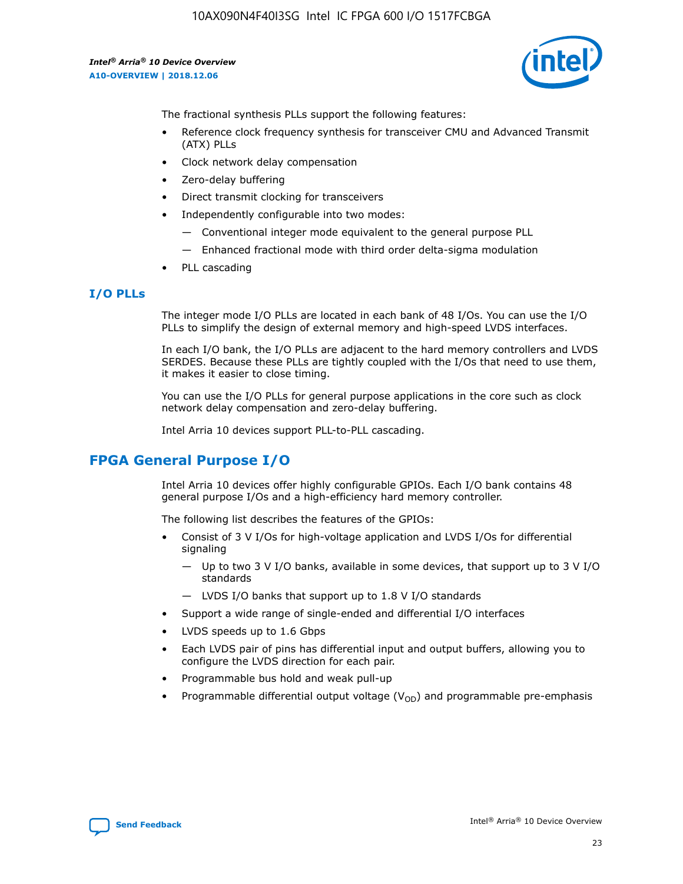

The fractional synthesis PLLs support the following features:

- Reference clock frequency synthesis for transceiver CMU and Advanced Transmit (ATX) PLLs
- Clock network delay compensation
- Zero-delay buffering
- Direct transmit clocking for transceivers
- Independently configurable into two modes:
	- Conventional integer mode equivalent to the general purpose PLL
	- Enhanced fractional mode with third order delta-sigma modulation
- PLL cascading

# **I/O PLLs**

The integer mode I/O PLLs are located in each bank of 48 I/Os. You can use the I/O PLLs to simplify the design of external memory and high-speed LVDS interfaces.

In each I/O bank, the I/O PLLs are adjacent to the hard memory controllers and LVDS SERDES. Because these PLLs are tightly coupled with the I/Os that need to use them, it makes it easier to close timing.

You can use the I/O PLLs for general purpose applications in the core such as clock network delay compensation and zero-delay buffering.

Intel Arria 10 devices support PLL-to-PLL cascading.

# **FPGA General Purpose I/O**

Intel Arria 10 devices offer highly configurable GPIOs. Each I/O bank contains 48 general purpose I/Os and a high-efficiency hard memory controller.

The following list describes the features of the GPIOs:

- Consist of 3 V I/Os for high-voltage application and LVDS I/Os for differential signaling
	- Up to two 3 V I/O banks, available in some devices, that support up to 3 V I/O standards
	- LVDS I/O banks that support up to 1.8 V I/O standards
- Support a wide range of single-ended and differential I/O interfaces
- LVDS speeds up to 1.6 Gbps
- Each LVDS pair of pins has differential input and output buffers, allowing you to configure the LVDS direction for each pair.
- Programmable bus hold and weak pull-up
- Programmable differential output voltage  $(V_{OD})$  and programmable pre-emphasis

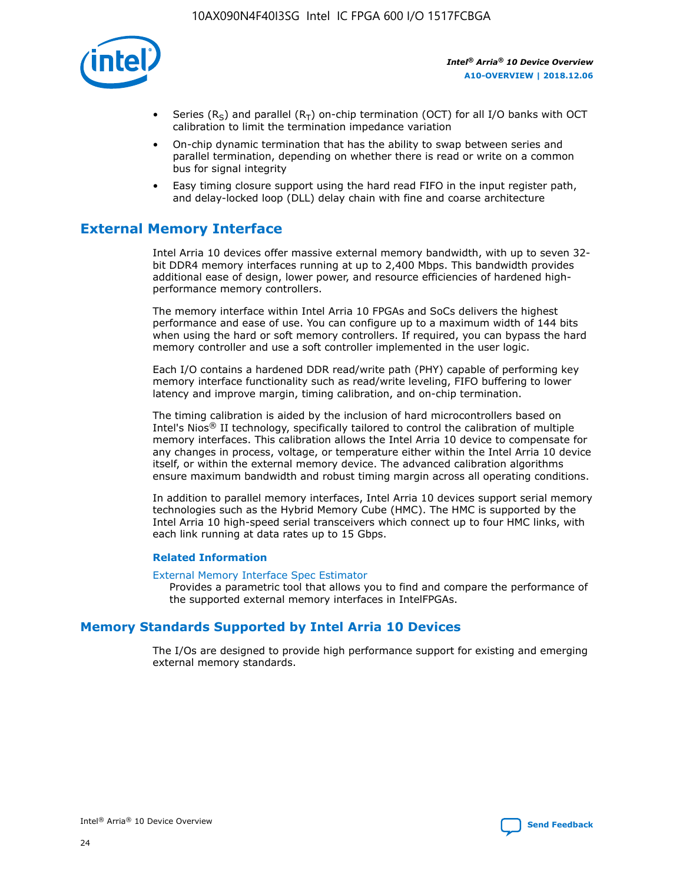

- Series (R<sub>S</sub>) and parallel (R<sub>T</sub>) on-chip termination (OCT) for all I/O banks with OCT calibration to limit the termination impedance variation
- On-chip dynamic termination that has the ability to swap between series and parallel termination, depending on whether there is read or write on a common bus for signal integrity
- Easy timing closure support using the hard read FIFO in the input register path, and delay-locked loop (DLL) delay chain with fine and coarse architecture

# **External Memory Interface**

Intel Arria 10 devices offer massive external memory bandwidth, with up to seven 32 bit DDR4 memory interfaces running at up to 2,400 Mbps. This bandwidth provides additional ease of design, lower power, and resource efficiencies of hardened highperformance memory controllers.

The memory interface within Intel Arria 10 FPGAs and SoCs delivers the highest performance and ease of use. You can configure up to a maximum width of 144 bits when using the hard or soft memory controllers. If required, you can bypass the hard memory controller and use a soft controller implemented in the user logic.

Each I/O contains a hardened DDR read/write path (PHY) capable of performing key memory interface functionality such as read/write leveling, FIFO buffering to lower latency and improve margin, timing calibration, and on-chip termination.

The timing calibration is aided by the inclusion of hard microcontrollers based on Intel's Nios® II technology, specifically tailored to control the calibration of multiple memory interfaces. This calibration allows the Intel Arria 10 device to compensate for any changes in process, voltage, or temperature either within the Intel Arria 10 device itself, or within the external memory device. The advanced calibration algorithms ensure maximum bandwidth and robust timing margin across all operating conditions.

In addition to parallel memory interfaces, Intel Arria 10 devices support serial memory technologies such as the Hybrid Memory Cube (HMC). The HMC is supported by the Intel Arria 10 high-speed serial transceivers which connect up to four HMC links, with each link running at data rates up to 15 Gbps.

### **Related Information**

#### [External Memory Interface Spec Estimator](http://www.altera.com/technology/memory/estimator/mem-emif-index.html)

Provides a parametric tool that allows you to find and compare the performance of the supported external memory interfaces in IntelFPGAs.

# **Memory Standards Supported by Intel Arria 10 Devices**

The I/Os are designed to provide high performance support for existing and emerging external memory standards.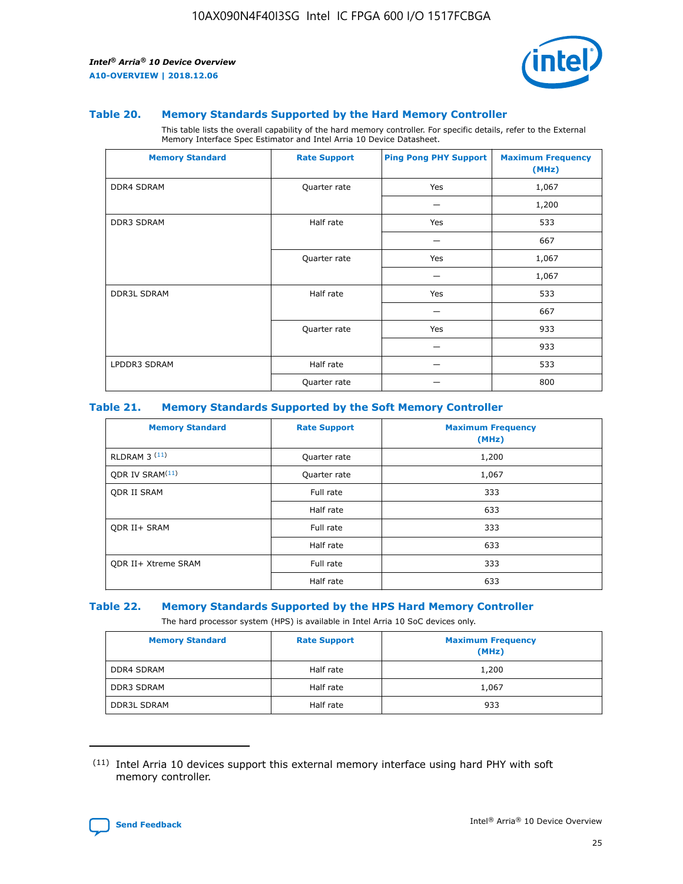

#### **Table 20. Memory Standards Supported by the Hard Memory Controller**

This table lists the overall capability of the hard memory controller. For specific details, refer to the External Memory Interface Spec Estimator and Intel Arria 10 Device Datasheet.

| <b>Memory Standard</b> | <b>Rate Support</b> | <b>Ping Pong PHY Support</b> | <b>Maximum Frequency</b><br>(MHz) |
|------------------------|---------------------|------------------------------|-----------------------------------|
| <b>DDR4 SDRAM</b>      | Quarter rate        | Yes                          | 1,067                             |
|                        |                     |                              | 1,200                             |
| <b>DDR3 SDRAM</b>      | Half rate           | Yes                          | 533                               |
|                        |                     |                              | 667                               |
|                        | Quarter rate        | Yes                          | 1,067                             |
|                        |                     |                              | 1,067                             |
| <b>DDR3L SDRAM</b>     | Half rate           | Yes                          | 533                               |
|                        |                     |                              | 667                               |
|                        | Quarter rate        | Yes                          | 933                               |
|                        |                     |                              | 933                               |
| LPDDR3 SDRAM           | Half rate           |                              | 533                               |
|                        | Quarter rate        |                              | 800                               |

#### **Table 21. Memory Standards Supported by the Soft Memory Controller**

| <b>Memory Standard</b>      | <b>Rate Support</b> | <b>Maximum Frequency</b><br>(MHz) |
|-----------------------------|---------------------|-----------------------------------|
| <b>RLDRAM 3 (11)</b>        | Quarter rate        | 1,200                             |
| ODR IV SRAM <sup>(11)</sup> | Quarter rate        | 1,067                             |
| <b>ODR II SRAM</b>          | Full rate           | 333                               |
|                             | Half rate           | 633                               |
| <b>ODR II+ SRAM</b>         | Full rate           | 333                               |
|                             | Half rate           | 633                               |
| <b>ODR II+ Xtreme SRAM</b>  | Full rate           | 333                               |
|                             | Half rate           | 633                               |

#### **Table 22. Memory Standards Supported by the HPS Hard Memory Controller**

The hard processor system (HPS) is available in Intel Arria 10 SoC devices only.

| <b>Memory Standard</b> | <b>Rate Support</b> | <b>Maximum Frequency</b><br>(MHz) |
|------------------------|---------------------|-----------------------------------|
| <b>DDR4 SDRAM</b>      | Half rate           | 1,200                             |
| <b>DDR3 SDRAM</b>      | Half rate           | 1,067                             |
| <b>DDR3L SDRAM</b>     | Half rate           | 933                               |

<sup>(11)</sup> Intel Arria 10 devices support this external memory interface using hard PHY with soft memory controller.

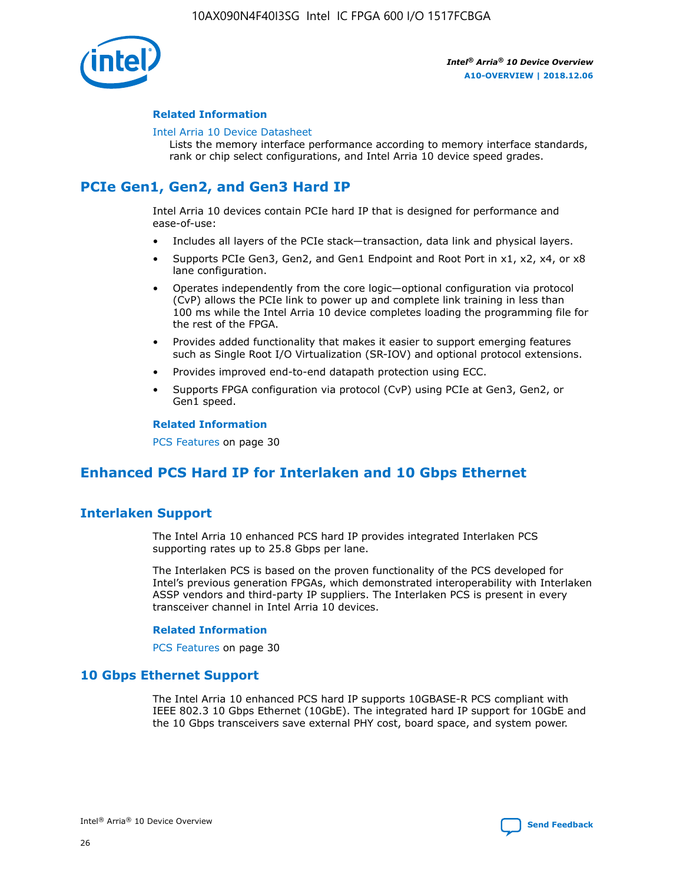

### **Related Information**

#### [Intel Arria 10 Device Datasheet](https://www.intel.com/content/www/us/en/programmable/documentation/mcn1413182292568.html#mcn1413182153340)

Lists the memory interface performance according to memory interface standards, rank or chip select configurations, and Intel Arria 10 device speed grades.

# **PCIe Gen1, Gen2, and Gen3 Hard IP**

Intel Arria 10 devices contain PCIe hard IP that is designed for performance and ease-of-use:

- Includes all layers of the PCIe stack—transaction, data link and physical layers.
- Supports PCIe Gen3, Gen2, and Gen1 Endpoint and Root Port in x1, x2, x4, or x8 lane configuration.
- Operates independently from the core logic—optional configuration via protocol (CvP) allows the PCIe link to power up and complete link training in less than 100 ms while the Intel Arria 10 device completes loading the programming file for the rest of the FPGA.
- Provides added functionality that makes it easier to support emerging features such as Single Root I/O Virtualization (SR-IOV) and optional protocol extensions.
- Provides improved end-to-end datapath protection using ECC.
- Supports FPGA configuration via protocol (CvP) using PCIe at Gen3, Gen2, or Gen1 speed.

#### **Related Information**

PCS Features on page 30

# **Enhanced PCS Hard IP for Interlaken and 10 Gbps Ethernet**

# **Interlaken Support**

The Intel Arria 10 enhanced PCS hard IP provides integrated Interlaken PCS supporting rates up to 25.8 Gbps per lane.

The Interlaken PCS is based on the proven functionality of the PCS developed for Intel's previous generation FPGAs, which demonstrated interoperability with Interlaken ASSP vendors and third-party IP suppliers. The Interlaken PCS is present in every transceiver channel in Intel Arria 10 devices.

### **Related Information**

PCS Features on page 30

# **10 Gbps Ethernet Support**

The Intel Arria 10 enhanced PCS hard IP supports 10GBASE-R PCS compliant with IEEE 802.3 10 Gbps Ethernet (10GbE). The integrated hard IP support for 10GbE and the 10 Gbps transceivers save external PHY cost, board space, and system power.

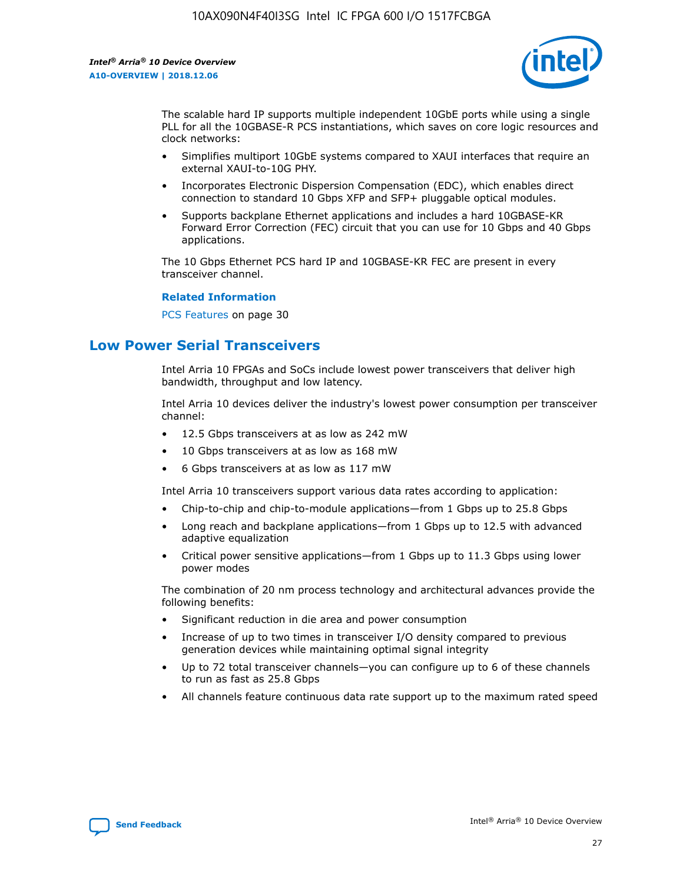

The scalable hard IP supports multiple independent 10GbE ports while using a single PLL for all the 10GBASE-R PCS instantiations, which saves on core logic resources and clock networks:

- Simplifies multiport 10GbE systems compared to XAUI interfaces that require an external XAUI-to-10G PHY.
- Incorporates Electronic Dispersion Compensation (EDC), which enables direct connection to standard 10 Gbps XFP and SFP+ pluggable optical modules.
- Supports backplane Ethernet applications and includes a hard 10GBASE-KR Forward Error Correction (FEC) circuit that you can use for 10 Gbps and 40 Gbps applications.

The 10 Gbps Ethernet PCS hard IP and 10GBASE-KR FEC are present in every transceiver channel.

#### **Related Information**

PCS Features on page 30

# **Low Power Serial Transceivers**

Intel Arria 10 FPGAs and SoCs include lowest power transceivers that deliver high bandwidth, throughput and low latency.

Intel Arria 10 devices deliver the industry's lowest power consumption per transceiver channel:

- 12.5 Gbps transceivers at as low as 242 mW
- 10 Gbps transceivers at as low as 168 mW
- 6 Gbps transceivers at as low as 117 mW

Intel Arria 10 transceivers support various data rates according to application:

- Chip-to-chip and chip-to-module applications—from 1 Gbps up to 25.8 Gbps
- Long reach and backplane applications—from 1 Gbps up to 12.5 with advanced adaptive equalization
- Critical power sensitive applications—from 1 Gbps up to 11.3 Gbps using lower power modes

The combination of 20 nm process technology and architectural advances provide the following benefits:

- Significant reduction in die area and power consumption
- Increase of up to two times in transceiver I/O density compared to previous generation devices while maintaining optimal signal integrity
- Up to 72 total transceiver channels—you can configure up to 6 of these channels to run as fast as 25.8 Gbps
- All channels feature continuous data rate support up to the maximum rated speed

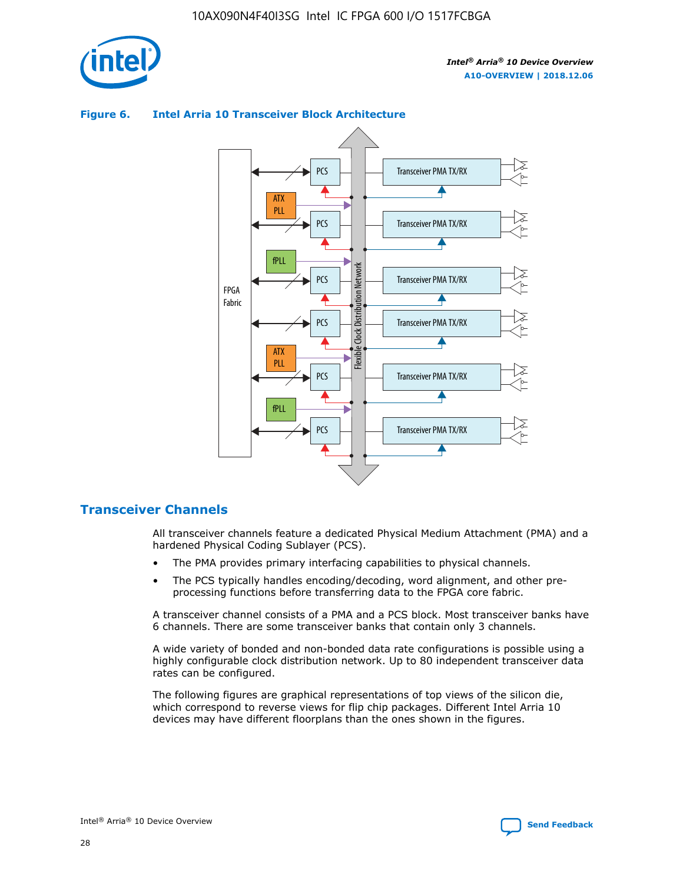

#### Transceiver PMA TX/RX PCS ATX PLL Transceiver PMA TX/RX PCS fPLL Network Flexible Clock Distribution Network PCS Transceiver PMA TX/RX FPGA **Clock Distribution** Fabric PCS Transceiver PMA TX/RX ATX Flexible PLL PCS Transceiver PMA TX/RX ▲ fPLL

### **Figure 6. Intel Arria 10 Transceiver Block Architecture**

# **Transceiver Channels**

All transceiver channels feature a dedicated Physical Medium Attachment (PMA) and a hardened Physical Coding Sublayer (PCS).

Transceiver PMA TX/RX

4

• The PMA provides primary interfacing capabilities to physical channels.

PCS

• The PCS typically handles encoding/decoding, word alignment, and other preprocessing functions before transferring data to the FPGA core fabric.

A transceiver channel consists of a PMA and a PCS block. Most transceiver banks have 6 channels. There are some transceiver banks that contain only 3 channels.

A wide variety of bonded and non-bonded data rate configurations is possible using a highly configurable clock distribution network. Up to 80 independent transceiver data rates can be configured.

The following figures are graphical representations of top views of the silicon die, which correspond to reverse views for flip chip packages. Different Intel Arria 10 devices may have different floorplans than the ones shown in the figures.

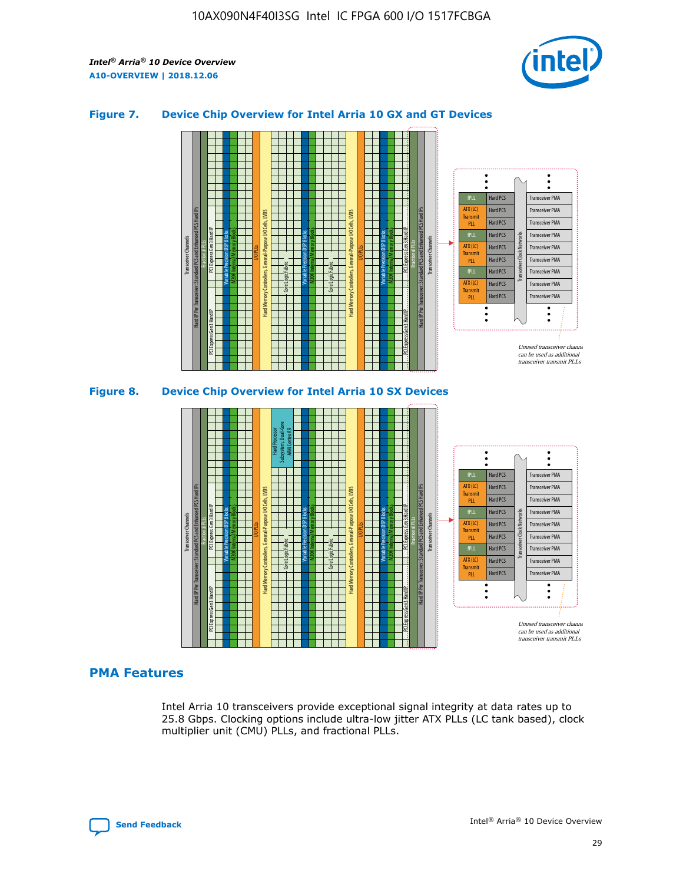

## **Figure 7. Device Chip Overview for Intel Arria 10 GX and GT Devices**



M20K Internal Memory Blocks Core Logic Fabric Transceiver Channels Hard IP Per Transceiver: Standard PCS and Enhanced PCS Hard IPs PCI Express Gen3 Hard IP Fractional PLLs M20K Internal Memory Blocks PCI Express Gen3 Hard IP Variable Precision DSP Blocks I/O PLLs Hard Memory Controllers, General-Purpose I/O Cells, LVDS Hard Processor Subsystem, Dual-Core ARM Cortex A9 M20K Internal Memory Blocks Variable Precision DSP Blocks M20K Internal Memory Blocks Core Logic Fabric I/O PLLs Hard Memory Controllers, General-Purpose I/O Cells, LVDS M20K Internal Memory Blocks Variable Precision DSP Blocks M20K Internal Memory Blocks Transceiver Channels Hard IP Per Transceiver: Standard PCS and Enhanced PCS Hard IPs PCI Express Gen3 Hard IP Fractional PLLs PCI Express Gen3 Hard IP Hard PCS Hard PCS Hard PCS Hard PCS Hard PCS Hard PCS Hard PCS Hard PCS Hard PCS Transceiver PMA Transceiver PMA Transceiver PMA Transceiver PMA Transceiver PMA Transceiver PMA Transceiver PMA Unused transceiver chann can be used as additional transceiver transmit PLLs Transceiver PMA Transceiver PMA Transceiver Clock Networks fPLL ATX (LC) **Transmit** PLL fPLL ATX (LC) Transmi PLL fPLL ATX (LC) **Transmit** PLL

# **PMA Features**

Intel Arria 10 transceivers provide exceptional signal integrity at data rates up to 25.8 Gbps. Clocking options include ultra-low jitter ATX PLLs (LC tank based), clock multiplier unit (CMU) PLLs, and fractional PLLs.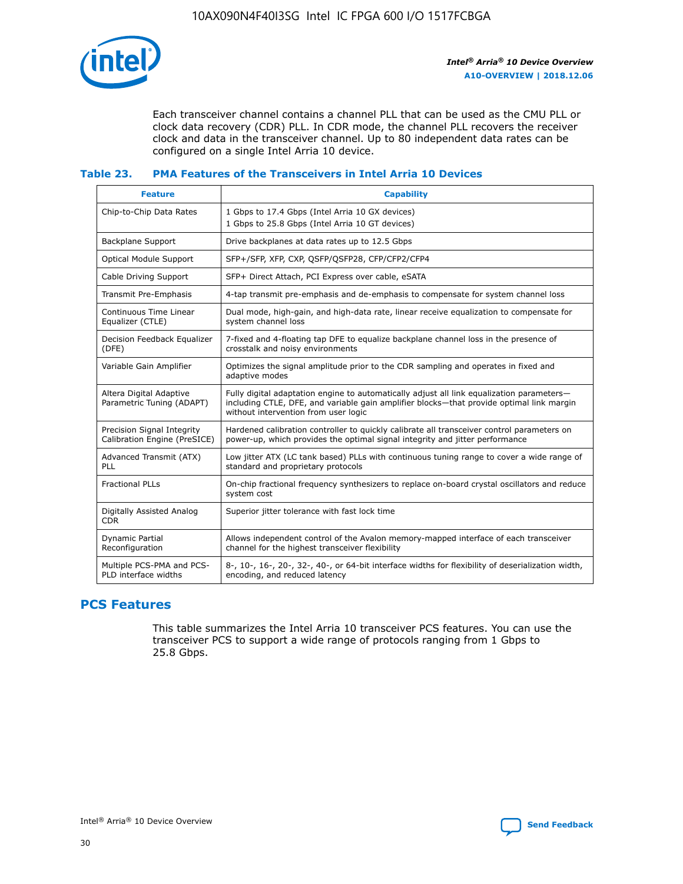

Each transceiver channel contains a channel PLL that can be used as the CMU PLL or clock data recovery (CDR) PLL. In CDR mode, the channel PLL recovers the receiver clock and data in the transceiver channel. Up to 80 independent data rates can be configured on a single Intel Arria 10 device.

## **Table 23. PMA Features of the Transceivers in Intel Arria 10 Devices**

| <b>Feature</b>                                             | <b>Capability</b>                                                                                                                                                                                                             |
|------------------------------------------------------------|-------------------------------------------------------------------------------------------------------------------------------------------------------------------------------------------------------------------------------|
| Chip-to-Chip Data Rates                                    | 1 Gbps to 17.4 Gbps (Intel Arria 10 GX devices)<br>1 Gbps to 25.8 Gbps (Intel Arria 10 GT devices)                                                                                                                            |
| Backplane Support                                          | Drive backplanes at data rates up to 12.5 Gbps                                                                                                                                                                                |
| Optical Module Support                                     | SFP+/SFP, XFP, CXP, QSFP/QSFP28, CFP/CFP2/CFP4                                                                                                                                                                                |
| Cable Driving Support                                      | SFP+ Direct Attach, PCI Express over cable, eSATA                                                                                                                                                                             |
| Transmit Pre-Emphasis                                      | 4-tap transmit pre-emphasis and de-emphasis to compensate for system channel loss                                                                                                                                             |
| Continuous Time Linear<br>Equalizer (CTLE)                 | Dual mode, high-gain, and high-data rate, linear receive equalization to compensate for<br>system channel loss                                                                                                                |
| Decision Feedback Equalizer<br>(DFE)                       | 7-fixed and 4-floating tap DFE to equalize backplane channel loss in the presence of<br>crosstalk and noisy environments                                                                                                      |
| Variable Gain Amplifier                                    | Optimizes the signal amplitude prior to the CDR sampling and operates in fixed and<br>adaptive modes                                                                                                                          |
| Altera Digital Adaptive<br>Parametric Tuning (ADAPT)       | Fully digital adaptation engine to automatically adjust all link equalization parameters-<br>including CTLE, DFE, and variable gain amplifier blocks—that provide optimal link margin<br>without intervention from user logic |
| Precision Signal Integrity<br>Calibration Engine (PreSICE) | Hardened calibration controller to quickly calibrate all transceiver control parameters on<br>power-up, which provides the optimal signal integrity and jitter performance                                                    |
| Advanced Transmit (ATX)<br><b>PLL</b>                      | Low jitter ATX (LC tank based) PLLs with continuous tuning range to cover a wide range of<br>standard and proprietary protocols                                                                                               |
| <b>Fractional PLLs</b>                                     | On-chip fractional frequency synthesizers to replace on-board crystal oscillators and reduce<br>system cost                                                                                                                   |
| Digitally Assisted Analog<br><b>CDR</b>                    | Superior jitter tolerance with fast lock time                                                                                                                                                                                 |
| Dynamic Partial<br>Reconfiguration                         | Allows independent control of the Avalon memory-mapped interface of each transceiver<br>channel for the highest transceiver flexibility                                                                                       |
| Multiple PCS-PMA and PCS-<br>PLD interface widths          | 8-, 10-, 16-, 20-, 32-, 40-, or 64-bit interface widths for flexibility of deserialization width,<br>encoding, and reduced latency                                                                                            |

# **PCS Features**

This table summarizes the Intel Arria 10 transceiver PCS features. You can use the transceiver PCS to support a wide range of protocols ranging from 1 Gbps to 25.8 Gbps.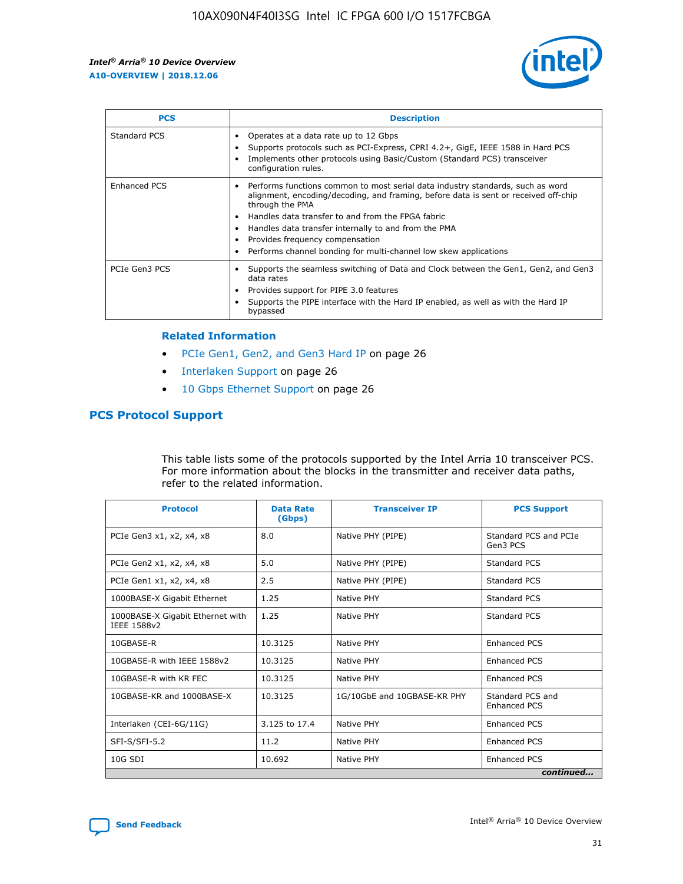

| <b>PCS</b>    | <b>Description</b>                                                                                                                                                                                                                                                                                                                                                                                             |
|---------------|----------------------------------------------------------------------------------------------------------------------------------------------------------------------------------------------------------------------------------------------------------------------------------------------------------------------------------------------------------------------------------------------------------------|
| Standard PCS  | Operates at a data rate up to 12 Gbps<br>Supports protocols such as PCI-Express, CPRI 4.2+, GigE, IEEE 1588 in Hard PCS<br>Implements other protocols using Basic/Custom (Standard PCS) transceiver<br>configuration rules.                                                                                                                                                                                    |
| Enhanced PCS  | Performs functions common to most serial data industry standards, such as word<br>alignment, encoding/decoding, and framing, before data is sent or received off-chip<br>through the PMA<br>• Handles data transfer to and from the FPGA fabric<br>Handles data transfer internally to and from the PMA<br>Provides frequency compensation<br>Performs channel bonding for multi-channel low skew applications |
| PCIe Gen3 PCS | Supports the seamless switching of Data and Clock between the Gen1, Gen2, and Gen3<br>data rates<br>Provides support for PIPE 3.0 features<br>Supports the PIPE interface with the Hard IP enabled, as well as with the Hard IP<br>bypassed                                                                                                                                                                    |

#### **Related Information**

- PCIe Gen1, Gen2, and Gen3 Hard IP on page 26
- Interlaken Support on page 26
- 10 Gbps Ethernet Support on page 26

# **PCS Protocol Support**

This table lists some of the protocols supported by the Intel Arria 10 transceiver PCS. For more information about the blocks in the transmitter and receiver data paths, refer to the related information.

| <b>Protocol</b>                                 | <b>Data Rate</b><br>(Gbps) | <b>Transceiver IP</b>       | <b>PCS Support</b>                      |
|-------------------------------------------------|----------------------------|-----------------------------|-----------------------------------------|
| PCIe Gen3 x1, x2, x4, x8                        | 8.0                        | Native PHY (PIPE)           | Standard PCS and PCIe<br>Gen3 PCS       |
| PCIe Gen2 x1, x2, x4, x8                        | 5.0                        | Native PHY (PIPE)           | <b>Standard PCS</b>                     |
| PCIe Gen1 x1, x2, x4, x8                        | 2.5                        | Native PHY (PIPE)           | Standard PCS                            |
| 1000BASE-X Gigabit Ethernet                     | 1.25                       | Native PHY                  | <b>Standard PCS</b>                     |
| 1000BASE-X Gigabit Ethernet with<br>IEEE 1588v2 | 1.25                       | Native PHY                  | Standard PCS                            |
| 10GBASE-R                                       | 10.3125                    | Native PHY                  | <b>Enhanced PCS</b>                     |
| 10GBASE-R with IEEE 1588v2                      | 10.3125                    | Native PHY                  | <b>Enhanced PCS</b>                     |
| 10GBASE-R with KR FEC                           | 10.3125                    | Native PHY                  | <b>Enhanced PCS</b>                     |
| 10GBASE-KR and 1000BASE-X                       | 10.3125                    | 1G/10GbE and 10GBASE-KR PHY | Standard PCS and<br><b>Enhanced PCS</b> |
| Interlaken (CEI-6G/11G)                         | 3.125 to 17.4              | Native PHY                  | <b>Enhanced PCS</b>                     |
| SFI-S/SFI-5.2                                   | 11.2                       | Native PHY                  | <b>Enhanced PCS</b>                     |
| $10G$ SDI                                       | 10.692                     | Native PHY                  | <b>Enhanced PCS</b>                     |
|                                                 |                            |                             | continued                               |

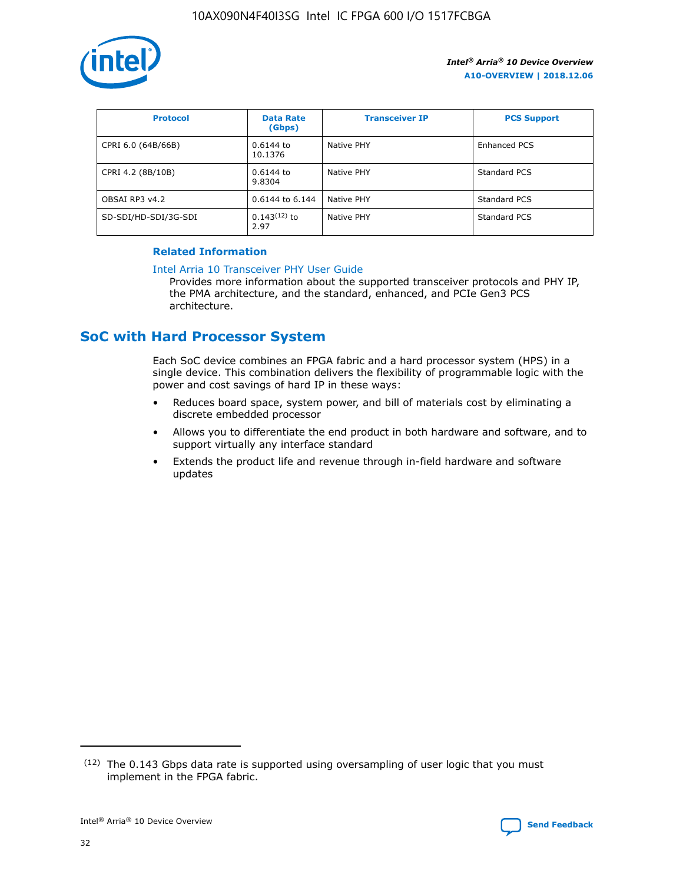

| <b>Protocol</b>      | <b>Data Rate</b><br>(Gbps) | <b>Transceiver IP</b> | <b>PCS Support</b> |
|----------------------|----------------------------|-----------------------|--------------------|
| CPRI 6.0 (64B/66B)   | 0.6144 to<br>10.1376       | Native PHY            | Enhanced PCS       |
| CPRI 4.2 (8B/10B)    | 0.6144 to<br>9.8304        | Native PHY            | Standard PCS       |
| OBSAI RP3 v4.2       | 0.6144 to 6.144            | Native PHY            | Standard PCS       |
| SD-SDI/HD-SDI/3G-SDI | $0.143(12)$ to<br>2.97     | Native PHY            | Standard PCS       |

## **Related Information**

#### [Intel Arria 10 Transceiver PHY User Guide](https://www.intel.com/content/www/us/en/programmable/documentation/nik1398707230472.html#nik1398707091164)

Provides more information about the supported transceiver protocols and PHY IP, the PMA architecture, and the standard, enhanced, and PCIe Gen3 PCS architecture.

# **SoC with Hard Processor System**

Each SoC device combines an FPGA fabric and a hard processor system (HPS) in a single device. This combination delivers the flexibility of programmable logic with the power and cost savings of hard IP in these ways:

- Reduces board space, system power, and bill of materials cost by eliminating a discrete embedded processor
- Allows you to differentiate the end product in both hardware and software, and to support virtually any interface standard
- Extends the product life and revenue through in-field hardware and software updates

 $(12)$  The 0.143 Gbps data rate is supported using oversampling of user logic that you must implement in the FPGA fabric.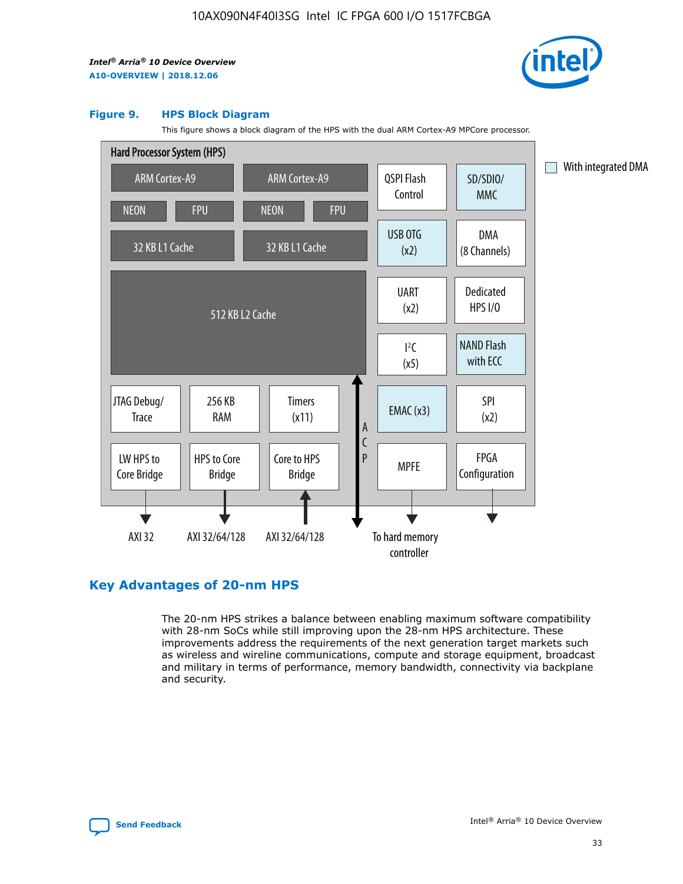

#### **Figure 9. HPS Block Diagram**

This figure shows a block diagram of the HPS with the dual ARM Cortex-A9 MPCore processor.



# **Key Advantages of 20-nm HPS**

The 20-nm HPS strikes a balance between enabling maximum software compatibility with 28-nm SoCs while still improving upon the 28-nm HPS architecture. These improvements address the requirements of the next generation target markets such as wireless and wireline communications, compute and storage equipment, broadcast and military in terms of performance, memory bandwidth, connectivity via backplane and security.

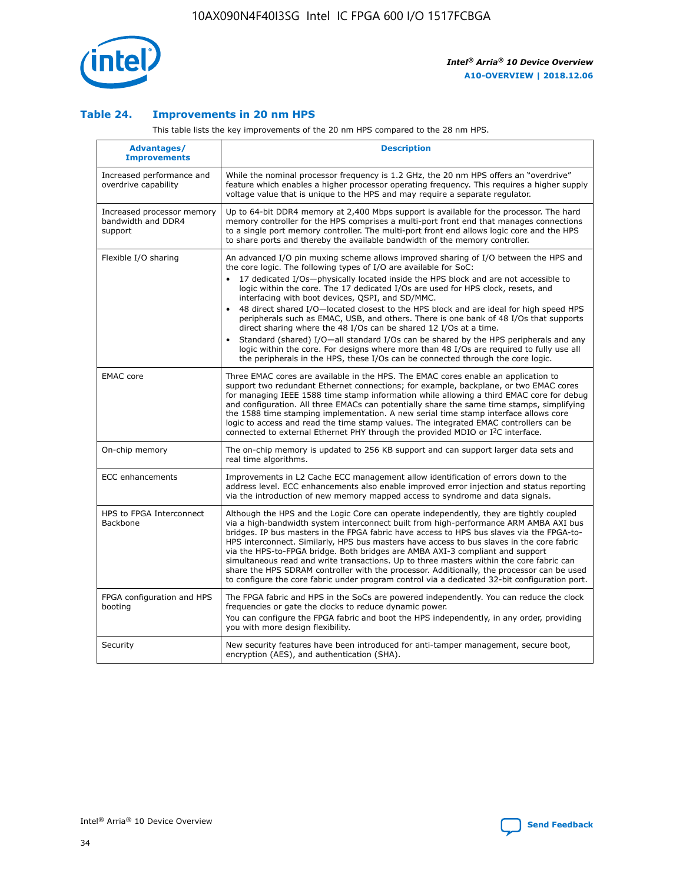

## **Table 24. Improvements in 20 nm HPS**

This table lists the key improvements of the 20 nm HPS compared to the 28 nm HPS.

| Advantages/<br><b>Improvements</b>                          | <b>Description</b>                                                                                                                                                                                                                                                                                                                                                                                                                                                                                                                                                                                                                                                                                                                                                                                                                                                                                                                                |
|-------------------------------------------------------------|---------------------------------------------------------------------------------------------------------------------------------------------------------------------------------------------------------------------------------------------------------------------------------------------------------------------------------------------------------------------------------------------------------------------------------------------------------------------------------------------------------------------------------------------------------------------------------------------------------------------------------------------------------------------------------------------------------------------------------------------------------------------------------------------------------------------------------------------------------------------------------------------------------------------------------------------------|
| Increased performance and<br>overdrive capability           | While the nominal processor frequency is 1.2 GHz, the 20 nm HPS offers an "overdrive"<br>feature which enables a higher processor operating frequency. This requires a higher supply<br>voltage value that is unique to the HPS and may require a separate regulator.                                                                                                                                                                                                                                                                                                                                                                                                                                                                                                                                                                                                                                                                             |
| Increased processor memory<br>bandwidth and DDR4<br>support | Up to 64-bit DDR4 memory at 2,400 Mbps support is available for the processor. The hard<br>memory controller for the HPS comprises a multi-port front end that manages connections<br>to a single port memory controller. The multi-port front end allows logic core and the HPS<br>to share ports and thereby the available bandwidth of the memory controller.                                                                                                                                                                                                                                                                                                                                                                                                                                                                                                                                                                                  |
| Flexible I/O sharing                                        | An advanced I/O pin muxing scheme allows improved sharing of I/O between the HPS and<br>the core logic. The following types of I/O are available for SoC:<br>17 dedicated I/Os-physically located inside the HPS block and are not accessible to<br>$\bullet$<br>logic within the core. The 17 dedicated I/Os are used for HPS clock, resets, and<br>interfacing with boot devices, QSPI, and SD/MMC.<br>48 direct shared I/O-located closest to the HPS block and are ideal for high speed HPS<br>$\bullet$<br>peripherals such as EMAC, USB, and others. There is one bank of 48 I/Os that supports<br>direct sharing where the 48 I/Os can be shared 12 I/Os at a time.<br>Standard (shared) I/O-all standard I/Os can be shared by the HPS peripherals and any<br>logic within the core. For designs where more than 48 I/Os are reguired to fully use all<br>the peripherals in the HPS, these I/Os can be connected through the core logic. |
| <b>EMAC</b> core                                            | Three EMAC cores are available in the HPS. The EMAC cores enable an application to<br>support two redundant Ethernet connections; for example, backplane, or two EMAC cores<br>for managing IEEE 1588 time stamp information while allowing a third EMAC core for debug<br>and configuration. All three EMACs can potentially share the same time stamps, simplifying<br>the 1588 time stamping implementation. A new serial time stamp interface allows core<br>logic to access and read the time stamp values. The integrated EMAC controllers can be<br>connected to external Ethernet PHY through the provided MDIO or I <sup>2</sup> C interface.                                                                                                                                                                                                                                                                                            |
| On-chip memory                                              | The on-chip memory is updated to 256 KB support and can support larger data sets and<br>real time algorithms.                                                                                                                                                                                                                                                                                                                                                                                                                                                                                                                                                                                                                                                                                                                                                                                                                                     |
| <b>ECC</b> enhancements                                     | Improvements in L2 Cache ECC management allow identification of errors down to the<br>address level. ECC enhancements also enable improved error injection and status reporting<br>via the introduction of new memory mapped access to syndrome and data signals.                                                                                                                                                                                                                                                                                                                                                                                                                                                                                                                                                                                                                                                                                 |
| HPS to FPGA Interconnect<br>Backbone                        | Although the HPS and the Logic Core can operate independently, they are tightly coupled<br>via a high-bandwidth system interconnect built from high-performance ARM AMBA AXI bus<br>bridges. IP bus masters in the FPGA fabric have access to HPS bus slaves via the FPGA-to-<br>HPS interconnect. Similarly, HPS bus masters have access to bus slaves in the core fabric<br>via the HPS-to-FPGA bridge. Both bridges are AMBA AXI-3 compliant and support<br>simultaneous read and write transactions. Up to three masters within the core fabric can<br>share the HPS SDRAM controller with the processor. Additionally, the processor can be used<br>to configure the core fabric under program control via a dedicated 32-bit configuration port.                                                                                                                                                                                            |
| FPGA configuration and HPS<br>booting                       | The FPGA fabric and HPS in the SoCs are powered independently. You can reduce the clock<br>frequencies or gate the clocks to reduce dynamic power.<br>You can configure the FPGA fabric and boot the HPS independently, in any order, providing<br>you with more design flexibility.                                                                                                                                                                                                                                                                                                                                                                                                                                                                                                                                                                                                                                                              |
| Security                                                    | New security features have been introduced for anti-tamper management, secure boot,<br>encryption (AES), and authentication (SHA).                                                                                                                                                                                                                                                                                                                                                                                                                                                                                                                                                                                                                                                                                                                                                                                                                |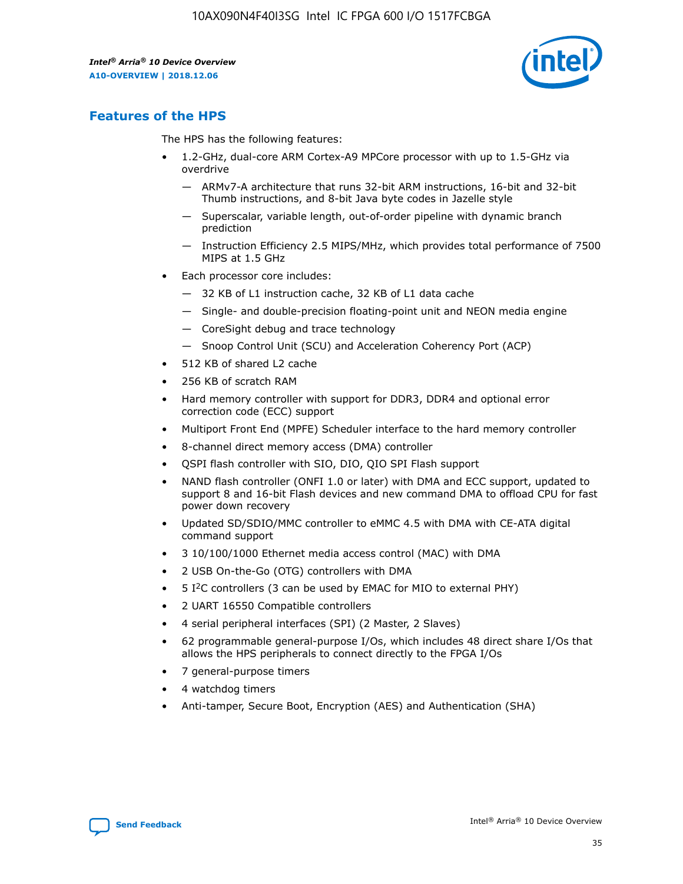

# **Features of the HPS**

The HPS has the following features:

- 1.2-GHz, dual-core ARM Cortex-A9 MPCore processor with up to 1.5-GHz via overdrive
	- ARMv7-A architecture that runs 32-bit ARM instructions, 16-bit and 32-bit Thumb instructions, and 8-bit Java byte codes in Jazelle style
	- Superscalar, variable length, out-of-order pipeline with dynamic branch prediction
	- Instruction Efficiency 2.5 MIPS/MHz, which provides total performance of 7500 MIPS at 1.5 GHz
- Each processor core includes:
	- 32 KB of L1 instruction cache, 32 KB of L1 data cache
	- Single- and double-precision floating-point unit and NEON media engine
	- CoreSight debug and trace technology
	- Snoop Control Unit (SCU) and Acceleration Coherency Port (ACP)
- 512 KB of shared L2 cache
- 256 KB of scratch RAM
- Hard memory controller with support for DDR3, DDR4 and optional error correction code (ECC) support
- Multiport Front End (MPFE) Scheduler interface to the hard memory controller
- 8-channel direct memory access (DMA) controller
- QSPI flash controller with SIO, DIO, QIO SPI Flash support
- NAND flash controller (ONFI 1.0 or later) with DMA and ECC support, updated to support 8 and 16-bit Flash devices and new command DMA to offload CPU for fast power down recovery
- Updated SD/SDIO/MMC controller to eMMC 4.5 with DMA with CE-ATA digital command support
- 3 10/100/1000 Ethernet media access control (MAC) with DMA
- 2 USB On-the-Go (OTG) controllers with DMA
- $\bullet$  5 I<sup>2</sup>C controllers (3 can be used by EMAC for MIO to external PHY)
- 2 UART 16550 Compatible controllers
- 4 serial peripheral interfaces (SPI) (2 Master, 2 Slaves)
- 62 programmable general-purpose I/Os, which includes 48 direct share I/Os that allows the HPS peripherals to connect directly to the FPGA I/Os
- 7 general-purpose timers
- 4 watchdog timers
- Anti-tamper, Secure Boot, Encryption (AES) and Authentication (SHA)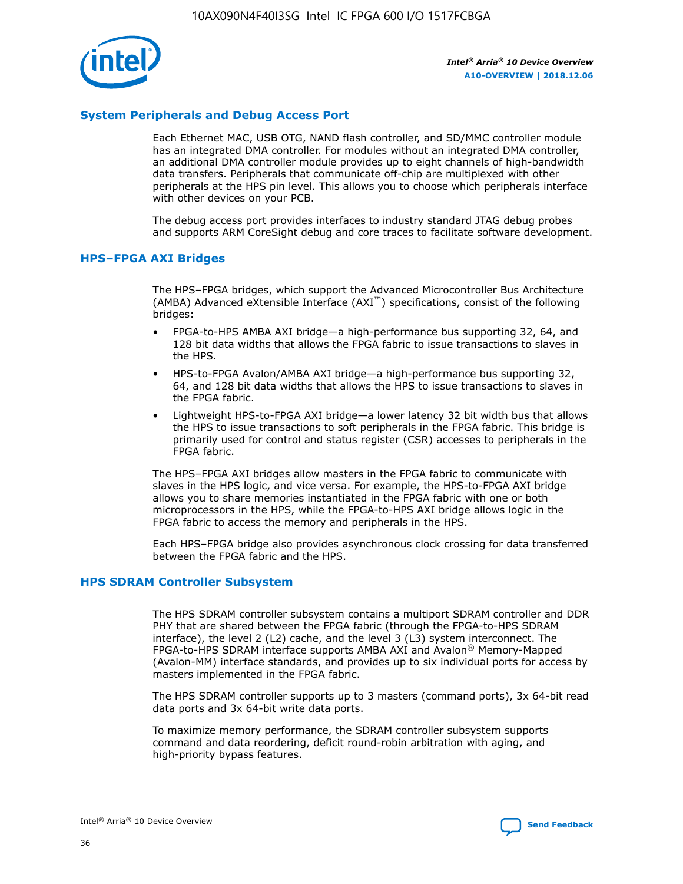

# **System Peripherals and Debug Access Port**

Each Ethernet MAC, USB OTG, NAND flash controller, and SD/MMC controller module has an integrated DMA controller. For modules without an integrated DMA controller, an additional DMA controller module provides up to eight channels of high-bandwidth data transfers. Peripherals that communicate off-chip are multiplexed with other peripherals at the HPS pin level. This allows you to choose which peripherals interface with other devices on your PCB.

The debug access port provides interfaces to industry standard JTAG debug probes and supports ARM CoreSight debug and core traces to facilitate software development.

## **HPS–FPGA AXI Bridges**

The HPS–FPGA bridges, which support the Advanced Microcontroller Bus Architecture (AMBA) Advanced eXtensible Interface (AXI™) specifications, consist of the following bridges:

- FPGA-to-HPS AMBA AXI bridge—a high-performance bus supporting 32, 64, and 128 bit data widths that allows the FPGA fabric to issue transactions to slaves in the HPS.
- HPS-to-FPGA Avalon/AMBA AXI bridge—a high-performance bus supporting 32, 64, and 128 bit data widths that allows the HPS to issue transactions to slaves in the FPGA fabric.
- Lightweight HPS-to-FPGA AXI bridge—a lower latency 32 bit width bus that allows the HPS to issue transactions to soft peripherals in the FPGA fabric. This bridge is primarily used for control and status register (CSR) accesses to peripherals in the FPGA fabric.

The HPS–FPGA AXI bridges allow masters in the FPGA fabric to communicate with slaves in the HPS logic, and vice versa. For example, the HPS-to-FPGA AXI bridge allows you to share memories instantiated in the FPGA fabric with one or both microprocessors in the HPS, while the FPGA-to-HPS AXI bridge allows logic in the FPGA fabric to access the memory and peripherals in the HPS.

Each HPS–FPGA bridge also provides asynchronous clock crossing for data transferred between the FPGA fabric and the HPS.

### **HPS SDRAM Controller Subsystem**

The HPS SDRAM controller subsystem contains a multiport SDRAM controller and DDR PHY that are shared between the FPGA fabric (through the FPGA-to-HPS SDRAM interface), the level 2 (L2) cache, and the level 3 (L3) system interconnect. The FPGA-to-HPS SDRAM interface supports AMBA AXI and Avalon® Memory-Mapped (Avalon-MM) interface standards, and provides up to six individual ports for access by masters implemented in the FPGA fabric.

The HPS SDRAM controller supports up to 3 masters (command ports), 3x 64-bit read data ports and 3x 64-bit write data ports.

To maximize memory performance, the SDRAM controller subsystem supports command and data reordering, deficit round-robin arbitration with aging, and high-priority bypass features.

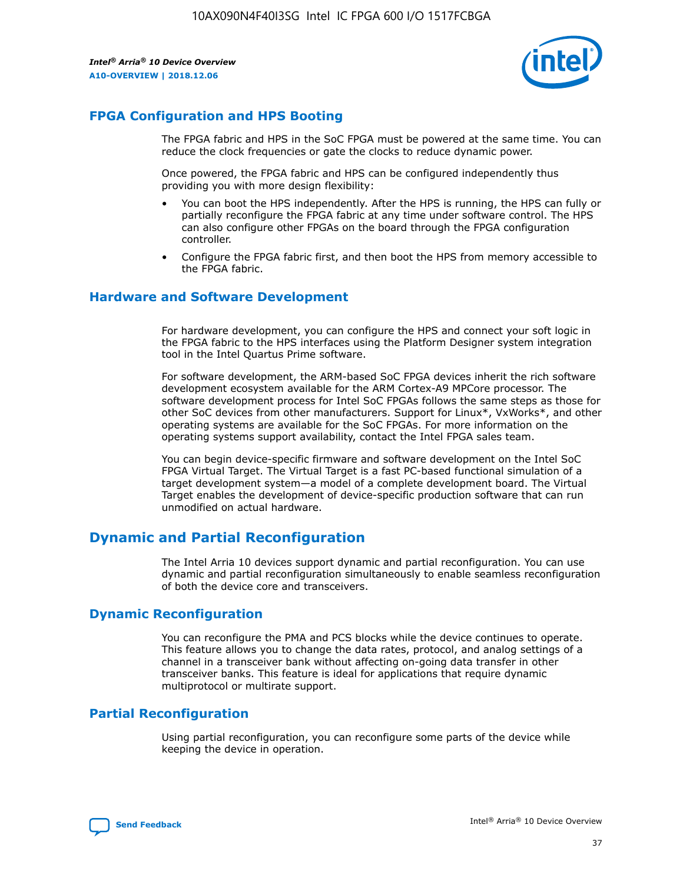

# **FPGA Configuration and HPS Booting**

The FPGA fabric and HPS in the SoC FPGA must be powered at the same time. You can reduce the clock frequencies or gate the clocks to reduce dynamic power.

Once powered, the FPGA fabric and HPS can be configured independently thus providing you with more design flexibility:

- You can boot the HPS independently. After the HPS is running, the HPS can fully or partially reconfigure the FPGA fabric at any time under software control. The HPS can also configure other FPGAs on the board through the FPGA configuration controller.
- Configure the FPGA fabric first, and then boot the HPS from memory accessible to the FPGA fabric.

## **Hardware and Software Development**

For hardware development, you can configure the HPS and connect your soft logic in the FPGA fabric to the HPS interfaces using the Platform Designer system integration tool in the Intel Quartus Prime software.

For software development, the ARM-based SoC FPGA devices inherit the rich software development ecosystem available for the ARM Cortex-A9 MPCore processor. The software development process for Intel SoC FPGAs follows the same steps as those for other SoC devices from other manufacturers. Support for Linux\*, VxWorks\*, and other operating systems are available for the SoC FPGAs. For more information on the operating systems support availability, contact the Intel FPGA sales team.

You can begin device-specific firmware and software development on the Intel SoC FPGA Virtual Target. The Virtual Target is a fast PC-based functional simulation of a target development system—a model of a complete development board. The Virtual Target enables the development of device-specific production software that can run unmodified on actual hardware.

# **Dynamic and Partial Reconfiguration**

The Intel Arria 10 devices support dynamic and partial reconfiguration. You can use dynamic and partial reconfiguration simultaneously to enable seamless reconfiguration of both the device core and transceivers.

# **Dynamic Reconfiguration**

You can reconfigure the PMA and PCS blocks while the device continues to operate. This feature allows you to change the data rates, protocol, and analog settings of a channel in a transceiver bank without affecting on-going data transfer in other transceiver banks. This feature is ideal for applications that require dynamic multiprotocol or multirate support.

# **Partial Reconfiguration**

Using partial reconfiguration, you can reconfigure some parts of the device while keeping the device in operation.

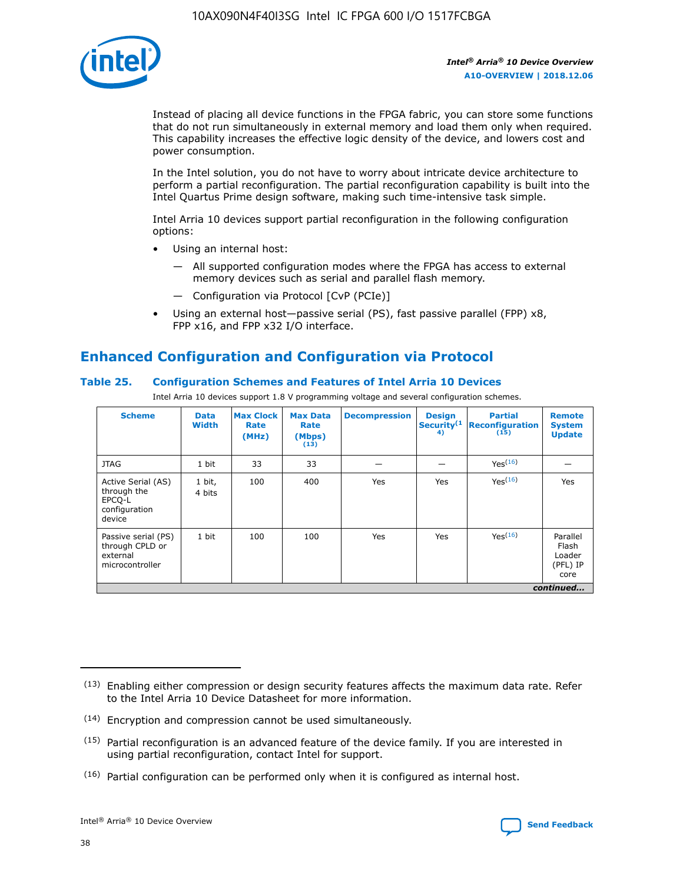

Instead of placing all device functions in the FPGA fabric, you can store some functions that do not run simultaneously in external memory and load them only when required. This capability increases the effective logic density of the device, and lowers cost and power consumption.

In the Intel solution, you do not have to worry about intricate device architecture to perform a partial reconfiguration. The partial reconfiguration capability is built into the Intel Quartus Prime design software, making such time-intensive task simple.

Intel Arria 10 devices support partial reconfiguration in the following configuration options:

- Using an internal host:
	- All supported configuration modes where the FPGA has access to external memory devices such as serial and parallel flash memory.
	- Configuration via Protocol [CvP (PCIe)]
- Using an external host—passive serial (PS), fast passive parallel (FPP) x8, FPP x16, and FPP x32 I/O interface.

# **Enhanced Configuration and Configuration via Protocol**

# **Table 25. Configuration Schemes and Features of Intel Arria 10 Devices**

Intel Arria 10 devices support 1.8 V programming voltage and several configuration schemes.

| <b>Scheme</b>                                                          | <b>Data</b><br><b>Width</b> | <b>Max Clock</b><br>Rate<br>(MHz) | <b>Max Data</b><br>Rate<br>(Mbps)<br>(13) | <b>Decompression</b> | <b>Design</b><br>Security <sup>(1</sup><br>4) | <b>Partial</b><br><b>Reconfiguration</b><br>(15) | <b>Remote</b><br><b>System</b><br><b>Update</b> |
|------------------------------------------------------------------------|-----------------------------|-----------------------------------|-------------------------------------------|----------------------|-----------------------------------------------|--------------------------------------------------|-------------------------------------------------|
| <b>JTAG</b>                                                            | 1 bit                       | 33                                | 33                                        |                      |                                               | Yes(16)                                          |                                                 |
| Active Serial (AS)<br>through the<br>EPCO-L<br>configuration<br>device | 1 bit,<br>4 bits            | 100                               | 400                                       | Yes                  | Yes                                           | $Y_{PS}(16)$                                     | Yes                                             |
| Passive serial (PS)<br>through CPLD or<br>external<br>microcontroller  | 1 bit                       | 100                               | 100                                       | Yes                  | Yes                                           | Yes(16)                                          | Parallel<br>Flash<br>Loader<br>(PFL) IP<br>core |
|                                                                        |                             |                                   |                                           |                      |                                               |                                                  | continued                                       |

<sup>(13)</sup> Enabling either compression or design security features affects the maximum data rate. Refer to the Intel Arria 10 Device Datasheet for more information.

<sup>(14)</sup> Encryption and compression cannot be used simultaneously.

 $(15)$  Partial reconfiguration is an advanced feature of the device family. If you are interested in using partial reconfiguration, contact Intel for support.

 $(16)$  Partial configuration can be performed only when it is configured as internal host.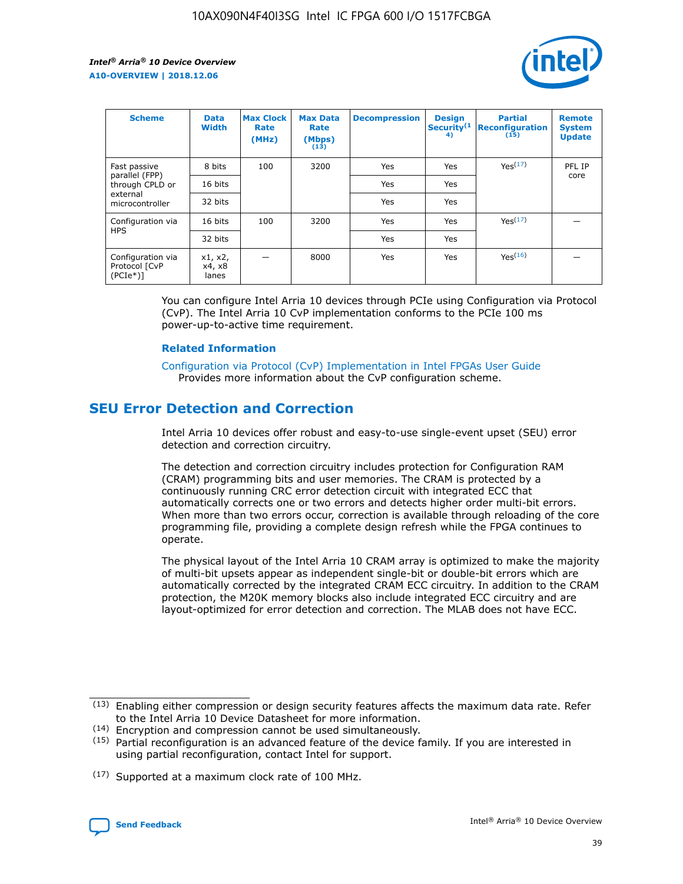

| <b>Scheme</b>                                   | <b>Data</b><br><b>Width</b> | <b>Max Clock</b><br>Rate<br>(MHz) | <b>Max Data</b><br>Rate<br>(Mbps)<br>(13) | <b>Decompression</b> | <b>Design</b><br>Security <sup>(1</sup><br>4) | <b>Partial</b><br><b>Reconfiguration</b><br>(15) | <b>Remote</b><br><b>System</b><br><b>Update</b> |
|-------------------------------------------------|-----------------------------|-----------------------------------|-------------------------------------------|----------------------|-----------------------------------------------|--------------------------------------------------|-------------------------------------------------|
| Fast passive                                    | 8 bits                      | 100                               | 3200                                      | Yes                  | Yes                                           | Yes(17)                                          | PFL IP                                          |
| parallel (FPP)<br>through CPLD or               | 16 bits                     |                                   |                                           | Yes                  | Yes                                           |                                                  | core                                            |
| external<br>microcontroller                     | 32 bits                     |                                   |                                           | Yes                  | Yes                                           |                                                  |                                                 |
| Configuration via                               | 16 bits                     | 100                               | 3200                                      | Yes                  | Yes                                           | Yes <sup>(17)</sup>                              |                                                 |
| <b>HPS</b>                                      | 32 bits                     |                                   |                                           | Yes                  | Yes                                           |                                                  |                                                 |
| Configuration via<br>Protocol [CvP<br>$(PCIe*)$ | x1, x2,<br>x4, x8<br>lanes  |                                   | 8000                                      | Yes                  | Yes                                           | Yes <sup>(16)</sup>                              |                                                 |

You can configure Intel Arria 10 devices through PCIe using Configuration via Protocol (CvP). The Intel Arria 10 CvP implementation conforms to the PCIe 100 ms power-up-to-active time requirement.

#### **Related Information**

[Configuration via Protocol \(CvP\) Implementation in Intel FPGAs User Guide](https://www.intel.com/content/www/us/en/programmable/documentation/dsu1441819344145.html#dsu1442269728522) Provides more information about the CvP configuration scheme.

# **SEU Error Detection and Correction**

Intel Arria 10 devices offer robust and easy-to-use single-event upset (SEU) error detection and correction circuitry.

The detection and correction circuitry includes protection for Configuration RAM (CRAM) programming bits and user memories. The CRAM is protected by a continuously running CRC error detection circuit with integrated ECC that automatically corrects one or two errors and detects higher order multi-bit errors. When more than two errors occur, correction is available through reloading of the core programming file, providing a complete design refresh while the FPGA continues to operate.

The physical layout of the Intel Arria 10 CRAM array is optimized to make the majority of multi-bit upsets appear as independent single-bit or double-bit errors which are automatically corrected by the integrated CRAM ECC circuitry. In addition to the CRAM protection, the M20K memory blocks also include integrated ECC circuitry and are layout-optimized for error detection and correction. The MLAB does not have ECC.

(14) Encryption and compression cannot be used simultaneously.

<sup>(17)</sup> Supported at a maximum clock rate of 100 MHz.



 $(13)$  Enabling either compression or design security features affects the maximum data rate. Refer to the Intel Arria 10 Device Datasheet for more information.

 $(15)$  Partial reconfiguration is an advanced feature of the device family. If you are interested in using partial reconfiguration, contact Intel for support.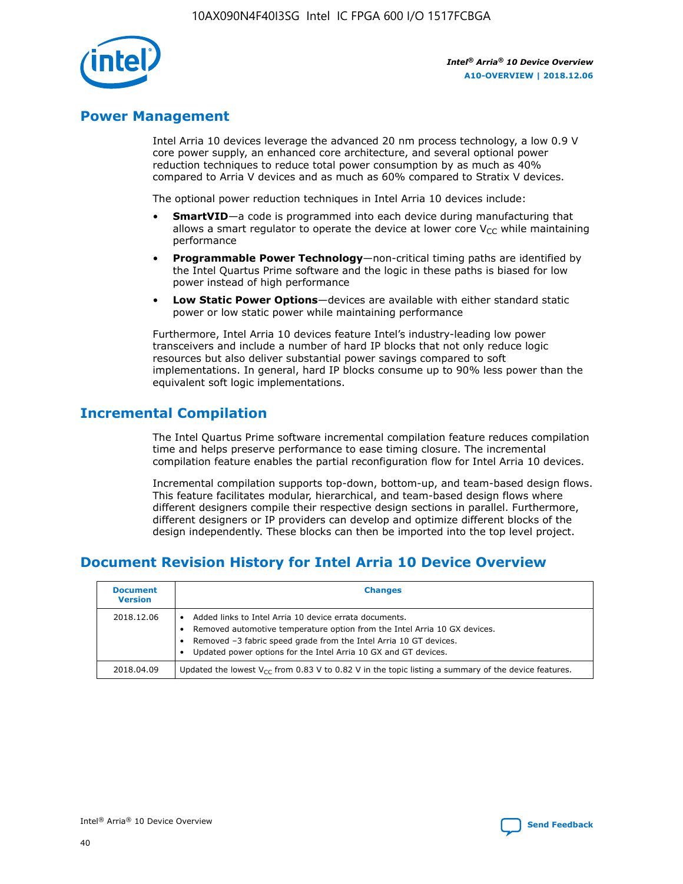

# **Power Management**

Intel Arria 10 devices leverage the advanced 20 nm process technology, a low 0.9 V core power supply, an enhanced core architecture, and several optional power reduction techniques to reduce total power consumption by as much as 40% compared to Arria V devices and as much as 60% compared to Stratix V devices.

The optional power reduction techniques in Intel Arria 10 devices include:

- **SmartVID**—a code is programmed into each device during manufacturing that allows a smart regulator to operate the device at lower core  $V_{CC}$  while maintaining performance
- **Programmable Power Technology**—non-critical timing paths are identified by the Intel Quartus Prime software and the logic in these paths is biased for low power instead of high performance
- **Low Static Power Options**—devices are available with either standard static power or low static power while maintaining performance

Furthermore, Intel Arria 10 devices feature Intel's industry-leading low power transceivers and include a number of hard IP blocks that not only reduce logic resources but also deliver substantial power savings compared to soft implementations. In general, hard IP blocks consume up to 90% less power than the equivalent soft logic implementations.

# **Incremental Compilation**

The Intel Quartus Prime software incremental compilation feature reduces compilation time and helps preserve performance to ease timing closure. The incremental compilation feature enables the partial reconfiguration flow for Intel Arria 10 devices.

Incremental compilation supports top-down, bottom-up, and team-based design flows. This feature facilitates modular, hierarchical, and team-based design flows where different designers compile their respective design sections in parallel. Furthermore, different designers or IP providers can develop and optimize different blocks of the design independently. These blocks can then be imported into the top level project.

# **Document Revision History for Intel Arria 10 Device Overview**

| <b>Document</b><br><b>Version</b> | <b>Changes</b>                                                                                                                                                                                                                                                              |
|-----------------------------------|-----------------------------------------------------------------------------------------------------------------------------------------------------------------------------------------------------------------------------------------------------------------------------|
| 2018.12.06                        | Added links to Intel Arria 10 device errata documents.<br>Removed automotive temperature option from the Intel Arria 10 GX devices.<br>Removed -3 fabric speed grade from the Intel Arria 10 GT devices.<br>Updated power options for the Intel Arria 10 GX and GT devices. |
| 2018.04.09                        | Updated the lowest $V_{CC}$ from 0.83 V to 0.82 V in the topic listing a summary of the device features.                                                                                                                                                                    |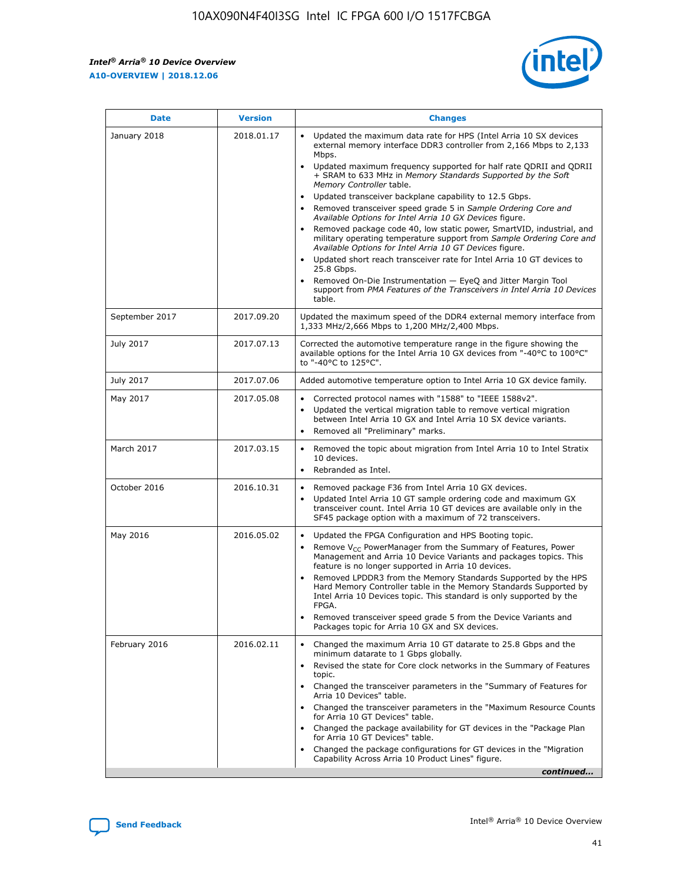*Intel® Arria® 10 Device Overview* **A10-OVERVIEW | 2018.12.06**



| <b>Date</b>    | <b>Version</b> | <b>Changes</b>                                                                                                                                                                                                                                                                                                                                                                                                                                                                                                                                                                                                                                                                                                                                                                                                                                                                                                                                                            |
|----------------|----------------|---------------------------------------------------------------------------------------------------------------------------------------------------------------------------------------------------------------------------------------------------------------------------------------------------------------------------------------------------------------------------------------------------------------------------------------------------------------------------------------------------------------------------------------------------------------------------------------------------------------------------------------------------------------------------------------------------------------------------------------------------------------------------------------------------------------------------------------------------------------------------------------------------------------------------------------------------------------------------|
| January 2018   | 2018.01.17     | Updated the maximum data rate for HPS (Intel Arria 10 SX devices<br>external memory interface DDR3 controller from 2,166 Mbps to 2,133<br>Mbps.<br>Updated maximum frequency supported for half rate QDRII and QDRII<br>+ SRAM to 633 MHz in Memory Standards Supported by the Soft<br>Memory Controller table.<br>Updated transceiver backplane capability to 12.5 Gbps.<br>$\bullet$<br>Removed transceiver speed grade 5 in Sample Ordering Core and<br>Available Options for Intel Arria 10 GX Devices figure.<br>Removed package code 40, low static power, SmartVID, industrial, and<br>military operating temperature support from Sample Ordering Core and<br>Available Options for Intel Arria 10 GT Devices figure.<br>Updated short reach transceiver rate for Intel Arria 10 GT devices to<br>25.8 Gbps.<br>Removed On-Die Instrumentation - EyeQ and Jitter Margin Tool<br>support from PMA Features of the Transceivers in Intel Arria 10 Devices<br>table. |
| September 2017 | 2017.09.20     | Updated the maximum speed of the DDR4 external memory interface from<br>1,333 MHz/2,666 Mbps to 1,200 MHz/2,400 Mbps.                                                                                                                                                                                                                                                                                                                                                                                                                                                                                                                                                                                                                                                                                                                                                                                                                                                     |
| July 2017      | 2017.07.13     | Corrected the automotive temperature range in the figure showing the<br>available options for the Intel Arria 10 GX devices from "-40°C to 100°C"<br>to "-40°C to 125°C".                                                                                                                                                                                                                                                                                                                                                                                                                                                                                                                                                                                                                                                                                                                                                                                                 |
| July 2017      | 2017.07.06     | Added automotive temperature option to Intel Arria 10 GX device family.                                                                                                                                                                                                                                                                                                                                                                                                                                                                                                                                                                                                                                                                                                                                                                                                                                                                                                   |
| May 2017       | 2017.05.08     | Corrected protocol names with "1588" to "IEEE 1588v2".<br>$\bullet$<br>Updated the vertical migration table to remove vertical migration<br>$\bullet$<br>between Intel Arria 10 GX and Intel Arria 10 SX device variants.<br>Removed all "Preliminary" marks.<br>$\bullet$                                                                                                                                                                                                                                                                                                                                                                                                                                                                                                                                                                                                                                                                                                |
| March 2017     | 2017.03.15     | Removed the topic about migration from Intel Arria 10 to Intel Stratix<br>10 devices.<br>Rebranded as Intel.<br>$\bullet$                                                                                                                                                                                                                                                                                                                                                                                                                                                                                                                                                                                                                                                                                                                                                                                                                                                 |
| October 2016   | 2016.10.31     | Removed package F36 from Intel Arria 10 GX devices.<br>Updated Intel Arria 10 GT sample ordering code and maximum GX<br>$\bullet$<br>transceiver count. Intel Arria 10 GT devices are available only in the<br>SF45 package option with a maximum of 72 transceivers.                                                                                                                                                                                                                                                                                                                                                                                                                                                                                                                                                                                                                                                                                                     |
| May 2016       | 2016.05.02     | Updated the FPGA Configuration and HPS Booting topic.<br>$\bullet$<br>Remove V <sub>CC</sub> PowerManager from the Summary of Features, Power<br>Management and Arria 10 Device Variants and packages topics. This<br>feature is no longer supported in Arria 10 devices.<br>Removed LPDDR3 from the Memory Standards Supported by the HPS<br>Hard Memory Controller table in the Memory Standards Supported by<br>Intel Arria 10 Devices topic. This standard is only supported by the<br>FPGA.<br>Removed transceiver speed grade 5 from the Device Variants and<br>Packages topic for Arria 10 GX and SX devices.                                                                                                                                                                                                                                                                                                                                                      |
| February 2016  | 2016.02.11     | Changed the maximum Arria 10 GT datarate to 25.8 Gbps and the<br>minimum datarate to 1 Gbps globally.<br>Revised the state for Core clock networks in the Summary of Features<br>$\bullet$<br>topic.<br>Changed the transceiver parameters in the "Summary of Features for<br>$\bullet$<br>Arria 10 Devices" table.<br>• Changed the transceiver parameters in the "Maximum Resource Counts<br>for Arria 10 GT Devices" table.<br>Changed the package availability for GT devices in the "Package Plan<br>for Arria 10 GT Devices" table.<br>Changed the package configurations for GT devices in the "Migration"<br>Capability Across Arria 10 Product Lines" figure.<br>continued                                                                                                                                                                                                                                                                                       |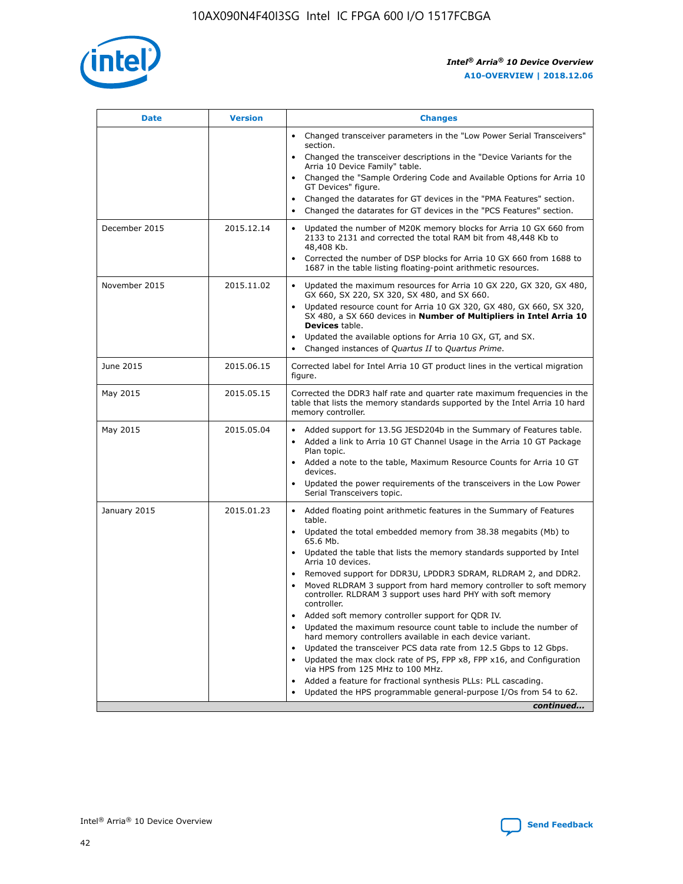

| <b>Date</b>   | <b>Version</b> | <b>Changes</b>                                                                                                                                                               |
|---------------|----------------|------------------------------------------------------------------------------------------------------------------------------------------------------------------------------|
|               |                | • Changed transceiver parameters in the "Low Power Serial Transceivers"<br>section.                                                                                          |
|               |                | • Changed the transceiver descriptions in the "Device Variants for the<br>Arria 10 Device Family" table.                                                                     |
|               |                | Changed the "Sample Ordering Code and Available Options for Arria 10<br>$\bullet$<br>GT Devices" figure.                                                                     |
|               |                | Changed the datarates for GT devices in the "PMA Features" section.                                                                                                          |
|               |                | Changed the datarates for GT devices in the "PCS Features" section.<br>$\bullet$                                                                                             |
| December 2015 | 2015.12.14     | Updated the number of M20K memory blocks for Arria 10 GX 660 from<br>2133 to 2131 and corrected the total RAM bit from 48,448 Kb to<br>48,408 Kb.                            |
|               |                | Corrected the number of DSP blocks for Arria 10 GX 660 from 1688 to<br>1687 in the table listing floating-point arithmetic resources.                                        |
| November 2015 | 2015.11.02     | Updated the maximum resources for Arria 10 GX 220, GX 320, GX 480,<br>$\bullet$<br>GX 660, SX 220, SX 320, SX 480, and SX 660.                                               |
|               |                | • Updated resource count for Arria 10 GX 320, GX 480, GX 660, SX 320,<br>SX 480, a SX 660 devices in Number of Multipliers in Intel Arria 10<br><b>Devices</b> table.        |
|               |                | Updated the available options for Arria 10 GX, GT, and SX.                                                                                                                   |
|               |                | Changed instances of Quartus II to Quartus Prime.<br>$\bullet$                                                                                                               |
| June 2015     | 2015.06.15     | Corrected label for Intel Arria 10 GT product lines in the vertical migration<br>figure.                                                                                     |
| May 2015      | 2015.05.15     | Corrected the DDR3 half rate and quarter rate maximum frequencies in the<br>table that lists the memory standards supported by the Intel Arria 10 hard<br>memory controller. |
| May 2015      | 2015.05.04     | • Added support for 13.5G JESD204b in the Summary of Features table.<br>• Added a link to Arria 10 GT Channel Usage in the Arria 10 GT Package<br>Plan topic.                |
|               |                | • Added a note to the table, Maximum Resource Counts for Arria 10 GT<br>devices.                                                                                             |
|               |                | • Updated the power requirements of the transceivers in the Low Power<br>Serial Transceivers topic.                                                                          |
| January 2015  | 2015.01.23     | • Added floating point arithmetic features in the Summary of Features<br>table.                                                                                              |
|               |                | • Updated the total embedded memory from 38.38 megabits (Mb) to<br>65.6 Mb.                                                                                                  |
|               |                | • Updated the table that lists the memory standards supported by Intel<br>Arria 10 devices.                                                                                  |
|               |                | Removed support for DDR3U, LPDDR3 SDRAM, RLDRAM 2, and DDR2.                                                                                                                 |
|               |                | Moved RLDRAM 3 support from hard memory controller to soft memory<br>controller. RLDRAM 3 support uses hard PHY with soft memory<br>controller.                              |
|               |                | Added soft memory controller support for QDR IV.<br>٠                                                                                                                        |
|               |                | Updated the maximum resource count table to include the number of<br>hard memory controllers available in each device variant.                                               |
|               |                | Updated the transceiver PCS data rate from 12.5 Gbps to 12 Gbps.<br>$\bullet$                                                                                                |
|               |                | Updated the max clock rate of PS, FPP x8, FPP x16, and Configuration<br>via HPS from 125 MHz to 100 MHz.                                                                     |
|               |                | Added a feature for fractional synthesis PLLs: PLL cascading.                                                                                                                |
|               |                | Updated the HPS programmable general-purpose I/Os from 54 to 62.<br>$\bullet$<br>continued                                                                                   |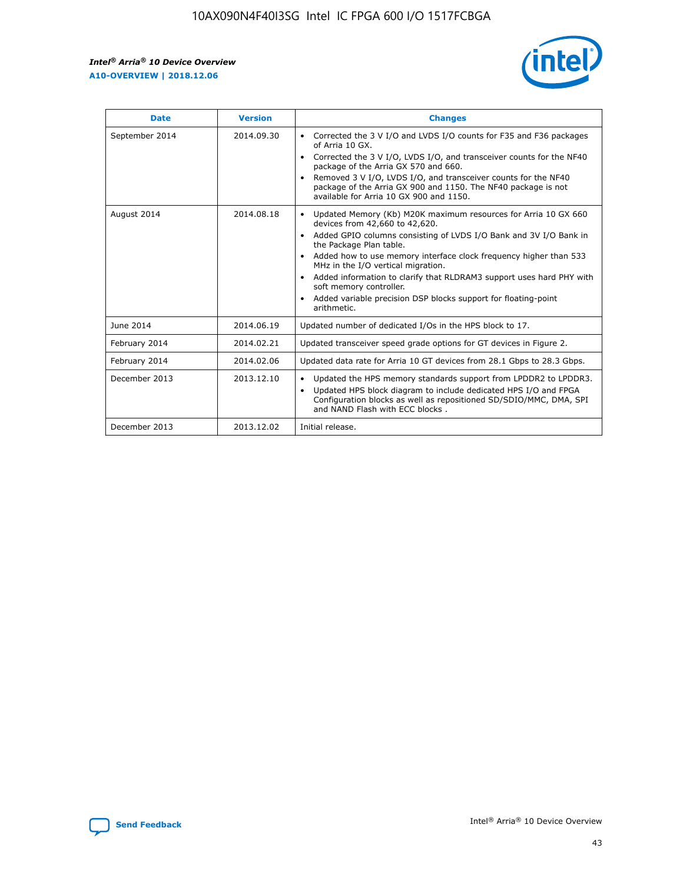r



| <b>Date</b>    | <b>Version</b> | <b>Changes</b>                                                                                                                                                                                                                                                                                                                                                                                                                                                                                                                                      |
|----------------|----------------|-----------------------------------------------------------------------------------------------------------------------------------------------------------------------------------------------------------------------------------------------------------------------------------------------------------------------------------------------------------------------------------------------------------------------------------------------------------------------------------------------------------------------------------------------------|
| September 2014 | 2014.09.30     | Corrected the 3 V I/O and LVDS I/O counts for F35 and F36 packages<br>$\bullet$<br>of Arria 10 GX.<br>Corrected the 3 V I/O, LVDS I/O, and transceiver counts for the NF40<br>$\bullet$<br>package of the Arria GX 570 and 660.<br>Removed 3 V I/O, LVDS I/O, and transceiver counts for the NF40<br>package of the Arria GX 900 and 1150. The NF40 package is not<br>available for Arria 10 GX 900 and 1150.                                                                                                                                       |
| August 2014    | 2014.08.18     | Updated Memory (Kb) M20K maximum resources for Arria 10 GX 660<br>devices from 42,660 to 42,620.<br>Added GPIO columns consisting of LVDS I/O Bank and 3V I/O Bank in<br>$\bullet$<br>the Package Plan table.<br>Added how to use memory interface clock frequency higher than 533<br>$\bullet$<br>MHz in the I/O vertical migration.<br>Added information to clarify that RLDRAM3 support uses hard PHY with<br>$\bullet$<br>soft memory controller.<br>Added variable precision DSP blocks support for floating-point<br>$\bullet$<br>arithmetic. |
| June 2014      | 2014.06.19     | Updated number of dedicated I/Os in the HPS block to 17.                                                                                                                                                                                                                                                                                                                                                                                                                                                                                            |
| February 2014  | 2014.02.21     | Updated transceiver speed grade options for GT devices in Figure 2.                                                                                                                                                                                                                                                                                                                                                                                                                                                                                 |
| February 2014  | 2014.02.06     | Updated data rate for Arria 10 GT devices from 28.1 Gbps to 28.3 Gbps.                                                                                                                                                                                                                                                                                                                                                                                                                                                                              |
| December 2013  | 2013.12.10     | Updated the HPS memory standards support from LPDDR2 to LPDDR3.<br>Updated HPS block diagram to include dedicated HPS I/O and FPGA<br>$\bullet$<br>Configuration blocks as well as repositioned SD/SDIO/MMC, DMA, SPI<br>and NAND Flash with ECC blocks.                                                                                                                                                                                                                                                                                            |
| December 2013  | 2013.12.02     | Initial release.                                                                                                                                                                                                                                                                                                                                                                                                                                                                                                                                    |